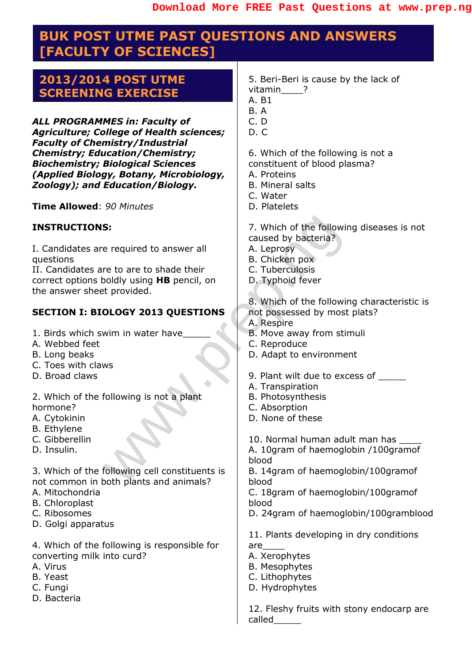### **BUK POST UTME PAST QUESTIONS AND ANSWERS [FACULTY OF SCIENCES]**

#### **2013/2014 POST UTME SCREENING EXERCISE**

*ALL PROGRAMMES in: Faculty of Agriculture; College of Health sciences; Faculty of Chemistry/Industrial Chemistry; Education/Chemistry; Biochemistry; Biological Sciences (Applied Biology, Botany, Microbiology, Zoology); and Education/Biology.*

**Time Allowed**: *90 Minutes*

#### **INSTRUCTIONS:**

I. Candidates are required to answer all questions

S:<br>
Example the answer all<br>
The correction of the following caused by bacteria?<br>
The correct of shade their<br>
the provided.<br>
Typhoid fever<br>
the provided.<br>
S. Which of the following<br>
the following is not a plant<br>
S. Which of II. Candidates are to are to shade their correct options boldly using **HB** pencil, on the answer sheet provided.

#### **SECTION I: BIOLOGY 2013 QUESTIONS**

- 1. Birds which swim in water have
- A. Webbed feet
- B. Long beaks
- C. Toes with claws
- D. Broad claws
- 2. Which of the following is not a plant hormone?
- A. Cytokinin
- B. Ethylene
- C. Gibberellin
- D. Insulin.

3. Which of the following cell constituents is not common in both plants and animals?

- A. Mitochondria
- B. Chloroplast
- C. Ribosomes
- D. Golgi apparatus

4. Which of the following is responsible for converting milk into curd?

- A. Virus
- B. Yeast
- C. Fungi
- D. Bacteria
- 5. Beri-Beri is cause by the lack of vitamin<sup>?</sup>
- A. B1
- B. A
- C. D
- $D. C.$

6. Which of the following is not a

- constituent of blood plasma?
- A. Proteins
- B. Mineral salts
- C. Water
- D. Platelets
- 7. Which of the following diseases is not caused by bacteria?
- A. Leprosy
- B. Chicken pox
- C. Tuberculosis
- D. Typhoid fever
- 8. Which of the following characteristic is not possessed by most plats?
- A. Respire
- B. Move away from stimuli
- C. Reproduce
- D. Adapt to environment
- 9. Plant wilt due to excess of
- A. Transpiration
- B. Photosynthesis
- C. Absorption
- D. None of these
- 10. Normal human adult man has
- A. 10gram of haemoglobin /100gramof blood

B. 14gram of haemoglobin/100gramof blood

C. 18gram of haemoglobin/100gramof blood

D. 24gram of haemoglobin/100gramblood

11. Plants developing in dry conditions are\_\_\_\_

- A. Xerophytes
- B. Mesophytes
- C. Lithophytes
- D. Hydrophytes

12. Fleshy fruits with stony endocarp are called\_\_\_\_\_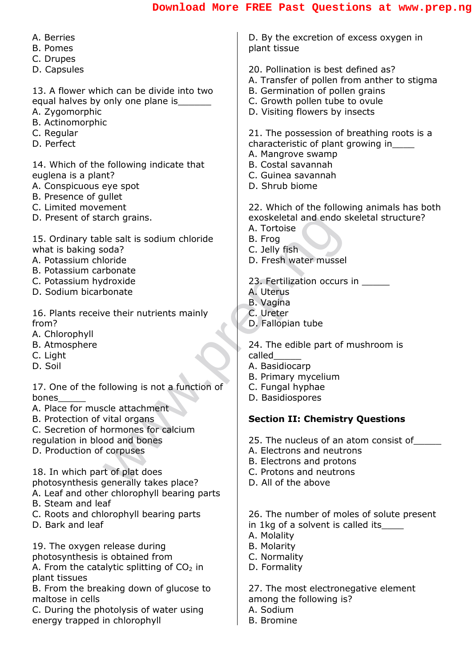| A. Berries                                                              | D. By the excretion of excess oxygen in        |
|-------------------------------------------------------------------------|------------------------------------------------|
| <b>B.</b> Pomes                                                         | plant tissue                                   |
| C. Drupes                                                               |                                                |
| D. Capsules                                                             | 20. Pollination is best defined as?            |
|                                                                         | A. Transfer of pollen from anther to stigma    |
| 13. A flower which can be divide into two                               | B. Germination of pollen grains                |
| equal halves by only one plane is _______                               | C. Growth pollen tube to ovule                 |
| A. Zygomorphic                                                          | D. Visiting flowers by insects                 |
| B. Actinomorphic                                                        |                                                |
| C. Regular                                                              | 21. The possession of breathing roots is a     |
| D. Perfect                                                              | characteristic of plant growing in_            |
|                                                                         | A. Mangrove swamp<br>B. Costal savannah        |
| 14. Which of the following indicate that<br>euglena is a plant?         | C. Guinea savannah                             |
| A. Conspicuous eye spot                                                 | D. Shrub biome                                 |
| B. Presence of gullet                                                   |                                                |
| C. Limited movement                                                     | 22. Which of the following animals has both    |
| D. Present of starch grains.                                            | exoskeletal and endo skeletal structure?       |
|                                                                         | A. Tortoise                                    |
| 15. Ordinary table salt is sodium chloride                              | B. Frog                                        |
| what is baking soda?                                                    | C. Jelly fish                                  |
| A. Potassium chloride                                                   | D. Fresh water mussel                          |
| B. Potassium carbonate                                                  |                                                |
| C. Potassium hydroxide                                                  | 23. Fertilization occurs in                    |
| D. Sodium bicarbonate                                                   | A. Uterus                                      |
|                                                                         | <b>B.</b> Vagina                               |
| 16. Plants receive their nutrients mainly                               | C. Ureter                                      |
| from?                                                                   | D. Fallopian tube                              |
| A. Chlorophyll<br>B. Atmosphere                                         | 24. The edible part of mushroom is             |
| C. Light                                                                | called                                         |
| D. Soil                                                                 | A. Basidiocarp                                 |
|                                                                         | B. Primary mycelium                            |
| 17. One of the following is not a function of                           | C. Fungal hyphae                               |
| bones                                                                   | D. Basidiospores                               |
| A. Place for muscle attachment                                          |                                                |
| B. Protection of vital organs                                           | <b>Section II: Chemistry Questions</b>         |
| C. Secretion of hormones for calcium                                    |                                                |
| regulation in blood and bones                                           | 25. The nucleus of an atom consist of          |
| D. Production of corpuses                                               | A. Electrons and neutrons                      |
|                                                                         | B. Electrons and protons                       |
| 18. In which part of plat does<br>photosynthesis generally takes place? | C. Protons and neutrons<br>D. All of the above |
| A. Leaf and other chlorophyll bearing parts                             |                                                |
| B. Steam and leaf                                                       |                                                |
| C. Roots and chlorophyll bearing parts                                  | 26. The number of moles of solute present      |
| D. Bark and leaf                                                        | in 1kg of a solvent is called its_             |
|                                                                         | A. Molality                                    |
| 19. The oxygen release during                                           | <b>B. Molarity</b>                             |
| photosynthesis is obtained from                                         | C. Normality                                   |
| A. From the catalytic splitting of $CO2$ in                             | D. Formality                                   |
| plant tissues                                                           |                                                |
| B. From the breaking down of glucose to                                 | 27. The most electronegative element           |
| maltose in cells                                                        | among the following is?                        |
| C. During the photolysis of water using                                 | A. Sodium                                      |

B. Bromine

C. During the photolysis of water using energy trapped in chlorophyll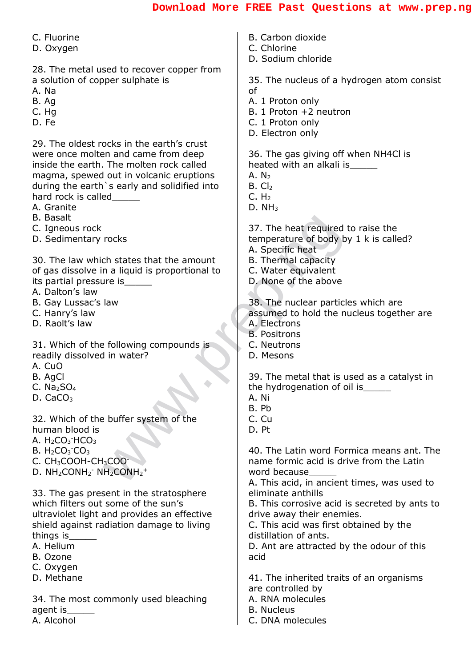| B. Carbon dioxide<br>C. Chlorine                                                                                                                     |
|------------------------------------------------------------------------------------------------------------------------------------------------------|
| D. Sodium chloride                                                                                                                                   |
| 35. The nucleus of a hydrogen atom consist<br>of<br>A. 1 Proton only<br>B. 1 Proton +2 neutron<br>C. 1 Proton only<br>D. Electron only               |
|                                                                                                                                                      |
| 36. The gas giving off when NH4Cl is<br>heated with an alkali is_____<br>A. $N_2$<br>$B.$ Cl <sub>2</sub><br>C. H <sub>2</sub><br>D. NH <sub>3</sub> |
| 37. The heat required to raise the                                                                                                                   |
| temperature of body by 1 k is called?                                                                                                                |
| A. Specific heat                                                                                                                                     |
| <b>B.</b> Thermal capacity                                                                                                                           |
| C. Water equivalent                                                                                                                                  |
| D. None of the above                                                                                                                                 |
| 38. The nuclear particles which are                                                                                                                  |
| assumed to hold the nucleus together are                                                                                                             |
| A. Electrons                                                                                                                                         |
| <b>B.</b> Positrons                                                                                                                                  |
| C. Neutrons                                                                                                                                          |
| D. Mesons                                                                                                                                            |
|                                                                                                                                                      |
| 39. The metal that is used as a catalyst in                                                                                                          |
| the hydrogenation of oil is                                                                                                                          |
| A. Ni                                                                                                                                                |
| B. Pb                                                                                                                                                |
| C. Cu<br>D. Pt                                                                                                                                       |
|                                                                                                                                                      |
| 40. The Latin word Formica means ant. The                                                                                                            |
| name formic acid is drive from the Latin                                                                                                             |
| word because                                                                                                                                         |
| A. This acid, in ancient times, was used to                                                                                                          |
| eliminate anthills                                                                                                                                   |
| B. This corrosive acid is secreted by ants to                                                                                                        |
| drive away their enemies.                                                                                                                            |
| C. This acid was first obtained by the                                                                                                               |
| distillation of ants.                                                                                                                                |
| D. Ant are attracted by the odour of this                                                                                                            |
| acid                                                                                                                                                 |
| 41. The inherited traits of an organisms                                                                                                             |
| are controlled by                                                                                                                                    |
| A. RNA molecules                                                                                                                                     |
| <b>B.</b> Nucleus                                                                                                                                    |
| C. DNA molecules                                                                                                                                     |
|                                                                                                                                                      |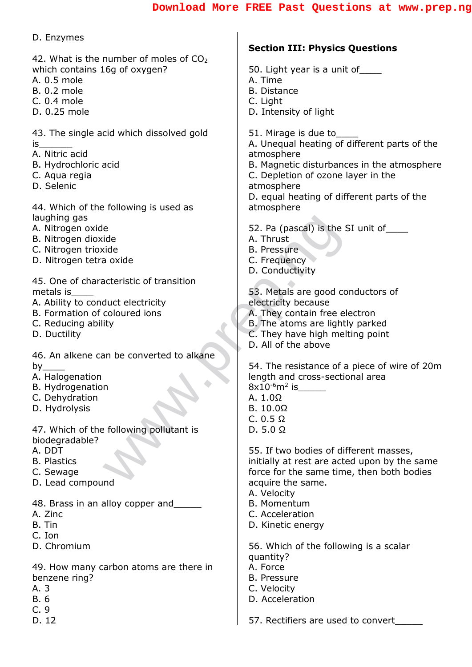| D. Enzymes<br><b>Section III: Physics Questions</b><br>42. What is the number of moles of CO <sub>2</sub><br>which contains 16g of oxygen?<br>50. Light year is a unit of _____<br>A. 0.5 mole<br>A. Time<br><b>B. 0.2 mole</b><br><b>B.</b> Distance |
|-------------------------------------------------------------------------------------------------------------------------------------------------------------------------------------------------------------------------------------------------------|
|                                                                                                                                                                                                                                                       |
|                                                                                                                                                                                                                                                       |
|                                                                                                                                                                                                                                                       |
|                                                                                                                                                                                                                                                       |
| C. 0.4 mole<br>C. Light                                                                                                                                                                                                                               |
| D. Intensity of light<br>D. 0.25 mole                                                                                                                                                                                                                 |
|                                                                                                                                                                                                                                                       |
| 43. The single acid which dissolved gold<br>51. Mirage is due to<br>A. Unequal heating of different parts of the<br>is                                                                                                                                |
| A. Nitric acid<br>atmosphere                                                                                                                                                                                                                          |
| B. Hydrochloric acid<br>B. Magnetic disturbances in the atmosphere                                                                                                                                                                                    |
| C. Depletion of ozone layer in the<br>C. Aqua regia                                                                                                                                                                                                   |
| D. Selenic<br>atmosphere                                                                                                                                                                                                                              |
| D. equal heating of different parts of the                                                                                                                                                                                                            |
| atmosphere<br>44. Which of the following is used as<br>laughing gas                                                                                                                                                                                   |
| 52. Pa (pascal) is the SI unit of<br>A. Nitrogen oxide                                                                                                                                                                                                |
| B. Nitrogen dioxide<br>A. Thrust                                                                                                                                                                                                                      |
| C. Nitrogen trioxide<br><b>B.</b> Pressure                                                                                                                                                                                                            |
| D. Nitrogen tetra oxide<br>C. Frequency                                                                                                                                                                                                               |
| D. Conductivity                                                                                                                                                                                                                                       |
| 45. One of characteristic of transition<br>53. Metals are good conductors of<br>metals is                                                                                                                                                             |
| A. Ability to conduct electricity<br>electricity because                                                                                                                                                                                              |
| A. They contain free electron<br>B. Formation of coloured ions                                                                                                                                                                                        |
| B. The atoms are lightly parked<br>C. Reducing ability                                                                                                                                                                                                |
| D. Ductility<br>C. They have high melting point                                                                                                                                                                                                       |
| D. All of the above<br>46. An alkene can be converted to alkane                                                                                                                                                                                       |
| 54. The resistance of a piece of wire of 20m<br>$by_$                                                                                                                                                                                                 |
| A. Halogenation<br>length and cross-sectional area                                                                                                                                                                                                    |
| B. Hydrogenation<br>$8x10^{-6}m^2$ is                                                                                                                                                                                                                 |
| C. Dehydration<br>A. $1.0\Omega$                                                                                                                                                                                                                      |
| D. Hydrolysis<br>B. 10.0 <omega<br>C. <math>0.5 \Omega</math></omega<br>                                                                                                                                                                              |
| 47. Which of the following pollutant is<br>$D. 5.0 \Omega$                                                                                                                                                                                            |
| biodegradable?                                                                                                                                                                                                                                        |
| A. DDT<br>55. If two bodies of different masses,                                                                                                                                                                                                      |
| <b>B.</b> Plastics<br>initially at rest are acted upon by the same                                                                                                                                                                                    |
| force for the same time, then both bodies<br>C. Sewage<br>D. Lead compound<br>acquire the same.                                                                                                                                                       |
| A. Velocity                                                                                                                                                                                                                                           |
| <b>B.</b> Momentum<br>48. Brass in an alloy copper and                                                                                                                                                                                                |
| C. Acceleration<br>A. Zinc                                                                                                                                                                                                                            |
| B. Tin<br>D. Kinetic energy                                                                                                                                                                                                                           |
| C. Ion<br>D. Chromium                                                                                                                                                                                                                                 |
| 56. Which of the following is a scalar<br>quantity?                                                                                                                                                                                                   |
| 49. How many carbon atoms are there in<br>A. Force                                                                                                                                                                                                    |
| benzene ring?<br><b>B.</b> Pressure                                                                                                                                                                                                                   |
| A. 3<br>C. Velocity                                                                                                                                                                                                                                   |
| D. Acceleration<br><b>B.</b> 6                                                                                                                                                                                                                        |
| C.9<br>D. 12<br>57. Rectifiers are used to convert                                                                                                                                                                                                    |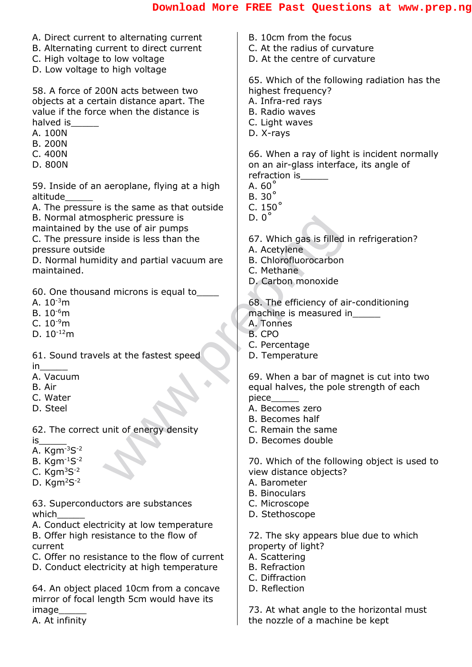| A. Direct current to alternating current      | B. 10cm from the focus                                                      |
|-----------------------------------------------|-----------------------------------------------------------------------------|
|                                               | C. At the radius of curvature                                               |
| B. Alternating current to direct current      |                                                                             |
| C. High voltage to low voltage                | D. At the centre of curvature                                               |
| D. Low voltage to high voltage                |                                                                             |
|                                               | 65. Which of the following radiation has the                                |
| 58. A force of 200N acts between two          | highest frequency?                                                          |
| objects at a certain distance apart. The      | A. Infra-red rays                                                           |
| value if the force when the distance is       | <b>B.</b> Radio waves                                                       |
|                                               |                                                                             |
| halved is                                     | C. Light waves                                                              |
| A. 100N                                       | D. X-rays                                                                   |
| <b>B. 200N</b>                                |                                                                             |
| C. 400N                                       | 66. When a ray of light is incident normally                                |
| D. 800N                                       | on an air-glass interface, its angle of                                     |
|                                               | refraction is                                                               |
| 59. Inside of an aeroplane, flying at a high  | A. $60^\circ$                                                               |
| altitude                                      | $B.30^\circ$                                                                |
|                                               |                                                                             |
| A. The pressure is the same as that outside   | C. $150^\circ$                                                              |
| B. Normal atmospheric pressure is             | $D.0^\circ$                                                                 |
| maintained by the use of air pumps            |                                                                             |
| C. The pressure inside is less than the       | 67. Which gas is filled in refrigeration?                                   |
| pressure outside                              | A. Acetylene                                                                |
| D. Normal humidity and partial vacuum are     | B. Chlorofluorocarbon                                                       |
| maintained.                                   | C. Methane                                                                  |
|                                               |                                                                             |
|                                               | D. Carbon monoxide                                                          |
| 60. One thousand microns is equal to          |                                                                             |
| A. $10^{-3}$ m                                | 68. The efficiency of air-conditioning                                      |
| B. $10^{-6}$ m                                | machine is measured in______                                                |
| C. $10^{-9}$ m                                | A. Tonnes                                                                   |
| D. $10^{-12}$ m                               | B. CPO                                                                      |
|                                               | C. Percentage                                                               |
|                                               |                                                                             |
| 61. Sound travels at the fastest speed        | D. Temperature                                                              |
| in                                            |                                                                             |
| A. Vacuum                                     | 69. When a bar of magnet is cut into two                                    |
| B. Air                                        | equal halves, the pole strength of each                                     |
| C. Water                                      | piece                                                                       |
| D. Steel                                      | A. Becomes zero                                                             |
|                                               | B. Becomes half                                                             |
| 62. The correct unit of energy density        | C. Remain the same                                                          |
| is                                            | D. Becomes double                                                           |
|                                               |                                                                             |
| A. $Kgm^{-3}S^{-2}$                           |                                                                             |
| B. $Kgm^{-1}S^{-2}$                           | 70. Which of the following object is used to                                |
| C. $Kgm3S-2$                                  | view distance objects?                                                      |
| D. $Kgm2S-2$                                  | A. Barometer                                                                |
|                                               | <b>B.</b> Binoculars                                                        |
| 63. Superconductors are substances            | C. Microscope                                                               |
| which                                         | D. Stethoscope                                                              |
| A. Conduct electricity at low temperature     |                                                                             |
|                                               |                                                                             |
| B. Offer high resistance to the flow of       | 72. The sky appears blue due to which                                       |
| current                                       | property of light?                                                          |
|                                               |                                                                             |
| C. Offer no resistance to the flow of current | A. Scattering                                                               |
| D. Conduct electricity at high temperature    | <b>B.</b> Refraction                                                        |
|                                               | C. Diffraction                                                              |
|                                               | D. Reflection                                                               |
| 64. An object placed 10cm from a concave      |                                                                             |
| mirror of focal length 5cm would have its     |                                                                             |
| image<br>A. At infinity                       | 73. At what angle to the horizontal must<br>the nozzle of a machine be kept |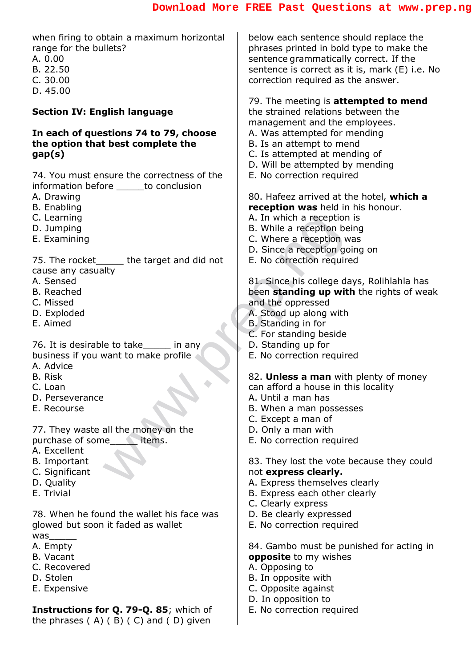A. In which a reception<br>
E. When a reception be<br>
C. Where a reception go<br>
D. Since a reception going<br>
B. No correction require<br>
81. Since his college da<br>
been standing up with<br>
A. Stood up along with<br>
B. Standing in for<br>
C when firing to obtain a maximum horizontal range for the bullets? A. 0.00 B. 22.50 C. 30.00 D. 45.00 **Section IV: English language In each of questions 74 to 79, choose the option that best complete the gap(s)** 74. You must ensure the correctness of the information before **busing** to conclusion A. Drawing B. Enabling C. Learning D. Jumping E. Examining 75. The rocket\_\_\_\_\_\_ the target and did not cause any casualty A. Sensed B. Reached C. Missed D. Exploded E. Aimed 76. It is desirable to take in any business if you want to make profile A. Advice B. Risk C. Loan D. Perseverance E. Recourse 77. They waste all the money on the purchase of some items. A. Excellent B. Important C. Significant D. Quality E. Trivial 78. When he found the wallet his face was glowed but soon it faded as wallet was A. Empty B. Vacant C. Recovered D. Stolen E. Expensive **Instructions for Q. 79-Q. 85**; which of below each sentence should replace the phrases printed in bold type to make the sentence grammatically correct. If the sentence is correct as it is, mark (E) i.e. No correction required as the answer. 79. The meeting is **attempted to mend** the strained relations between the management and the employees. A. Was attempted for mending B. Is an attempt to mend C. Is attempted at mending of D. Will be attempted by mending E. No correction required 80. Hafeez arrived at the hotel, **which a reception was** held in his honour. A. In which a reception is B. While a reception being C. Where a reception was D. Since a reception going on E. No correction required 81. Since his college days, Rolihlahla has been **standing up with** the rights of weak and the oppressed A. Stood up along with B. Standing in for C. For standing beside D. Standing up for E. No correction required 82. **Unless a man** with plenty of money can afford a house in this locality A. Until a man has B. When a man possesses C. Except a man of D. Only a man with E. No correction required 83. They lost the vote because they could not **express clearly.** A. Express themselves clearly B. Express each other clearly C. Clearly express D. Be clearly expressed E. No correction required 84. Gambo must be punished for acting in **opposite** to my wishes A. Opposing to B. In opposite with C. Opposite against D. In opposition to E. No correction required

the phrases  $(A)$   $(B)$   $(C)$  and  $(D)$  given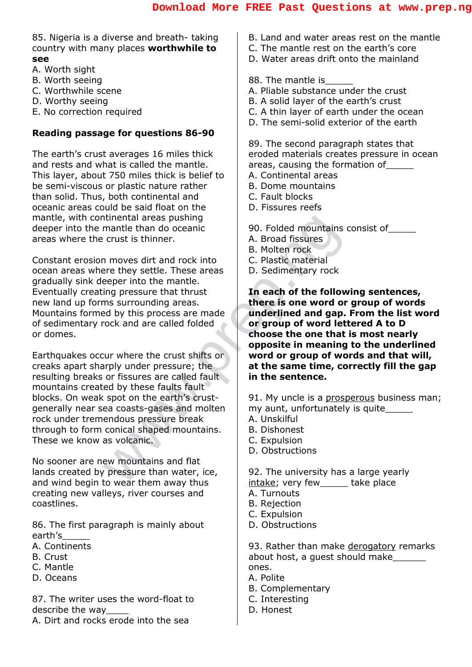85. Nigeria is a diverse and breath- taking country with many places **worthwhile to see**

- A. Worth sight
- B. Worth seeing
- C. Worthwhile scene
- D. Worthy seeing
- E. No correction required

#### **Reading passage for questions 86-90**

The earth's crust averages 16 miles thick and rests and what is called the mantle. This layer, about 750 miles thick is belief to be semi-viscous or plastic nature rather than solid. Thus, both continental and oceanic areas could be said float on the mantle, with continental areas pushing deeper into the mantle than do oceanic areas where the crust is thinner.

Constant erosion moves dirt and rock into ocean areas where they settle. These areas gradually sink deeper into the mantle. Eventually creating pressure that thrust new land up forms surrounding areas. Mountains formed by this process are made of sedimentary rock and are called folded or domes.

We are the motion of the motion of the motion of the motion of the motion of the motion of the motion of the motion of the motion of the motion of the motion of the motion of the motion of the same of the same of the same Earthquakes occur where the crust shifts or creaks apart sharply under pressure; the resulting breaks or fissures are called fault mountains created by these faults fault blocks. On weak spot on the earth's crustgenerally near sea coasts-gases and molten rock under tremendous pressure break through to form conical shaped mountains. These we know as volcanic.

No sooner are new mountains and flat lands created by pressure than water, ice, and wind begin to wear them away thus creating new valleys, river courses and coastlines.

86. The first paragraph is mainly about earth's\_\_\_\_\_

- A. Continents
- B. Crust
- C. Mantle
- D. Oceans

87. The writer uses the word-float to describe the way\_\_\_\_

A. Dirt and rocks erode into the sea

- B. Land and water areas rest on the mantle
- C. The mantle rest on the earth's core
- D. Water areas drift onto the mainland
- 88. The mantle is
- A. Pliable substance under the crust
- B. A solid layer of the earth's crust
- C. A thin layer of earth under the ocean
- D. The semi-solid exterior of the earth

89. The second paragraph states that eroded materials creates pressure in ocean areas, causing the formation of\_\_\_\_\_

- A. Continental areas
- B. Dome mountains
- C. Fault blocks
- D. Fissures reefs

90. Folded mountains consist of\_\_\_\_\_

- A. Broad fissures
- B. Molten rock
- C. Plastic material
- D. Sedimentary rock

**In each of the following sentences, there is one word or group of words underlined and gap. From the list word or group of word lettered A to D choose the one that is most nearly opposite in meaning to the underlined word or group of words and that will, at the same time, correctly fill the gap in the sentence.**

91. My uncle is a prosperous business man; my aunt, unfortunately is quite\_\_\_\_\_

- A. Unskilful
- B. Dishonest
- C. Expulsion
- D. Obstructions

92. The university has a large yearly intake; very few take place

A. Turnouts

- B. Rejection
- C. Expulsion
- D. Obstructions

93. Rather than make derogatory remarks about host, a guest should make\_\_\_\_\_\_ ones.

- A. Polite
- B. Complementary
- C. Interesting
- D. Honest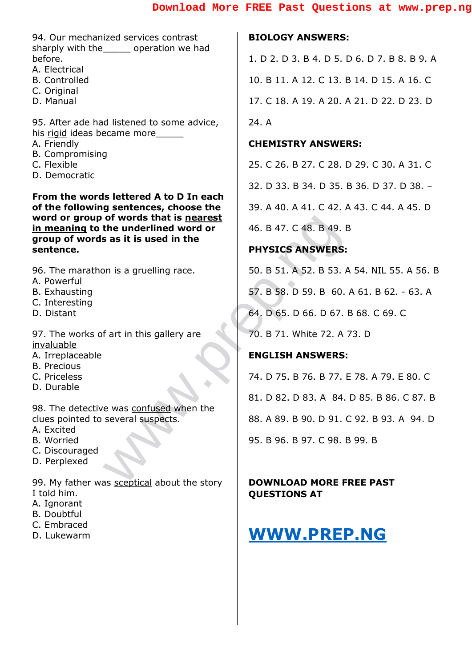94. Our mechanized services contrast sharply with the operation we had before.

- A. Electrical
- B. Controlled
- C. Original
- D. Manual

95. After ade had listened to some advice, his rigid ideas became more

- A. Friendly
- B. Compromising
- C. Flexible
- D. Democratic

**From the words lettered A to D In each of the following sentences, choose the word or group of words that is nearest in meaning to the underlined word or group of words as it is used in the sentence.**

96. The marathon is a gruelling race.

- A. Powerful
- B. Exhausting
- C. Interesting
- D. Distant

97. The works of art in this gallery are invaluable

- A. Irreplaceable
- B. Precious
- C. Priceless
- D. Durable

98. The detective was confused when the clues pointed to several suspects.

- A. Excited
- B. Worried
- C. Discouraged
- D. Perplexed

99. My father was sceptical about the story I told him.

- A. Ignorant
- B. Doubtful
- C. Embraced
- D. Lukewarm

#### **BIOLOGY ANSWERS:**

1. D 2. D 3. B 4. D 5. D 6. D 7. B 8. B 9. A 10. B 11. A 12. C 13. B 14. D 15. A 16. C 17. C 18. A 19. A 20. A 21. D 22. D 23. D 24. A

#### **CHEMISTRY ANSWERS:**

25. C 26. B 27. C 28. D 29. C 30. A 31. C 32. D 33. B 34. D 35. B 36. D 37. D 38. – 39. A 40. A 41. C 42. A 43. C 44. A 45. D 46. B 47. C 48. B 49. B

#### **PHYSICS ANSWERS:**

50. B 51. A 52. B 53. A 54. NIL 55. A 56. B 57. B 58. D 59. B 60. A 61. B 62. - 63. A 64. D 65. D 66. D 67. B 68. C 69. C 70. B 71. White 72. A 73. D

#### **ENGLISH ANSWERS:**

of words that is <u>nearest</u><br>
the underlined word or<br>
private and the<br>
private and the<br>
private and the<br>
private and the<br>
private and the<br>
private and the set of the state in this gallery are<br>
for the state in this gallery a 74. D 75. B 76. B 77. E 78. A 79. E 80. C 81. D 82. D 83. A 84. D 85. B 86. C 87. B 88. A 89. B 90. D 91. C 92. B 93. A 94. D 95. B 96. B 97. C 98. B 99. B

#### **DOWNLOAD MORE FREE PAST QUESTIONS AT**

## **[WWW.PREP.NG](http://www.prep.ng/)**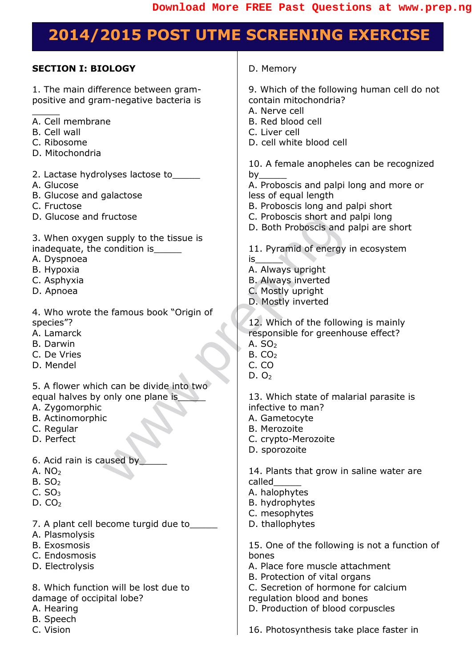## **2014/2015 POST UTME SCREENING EXERCISE**

#### **SECTION I: BIOLOGY**

1. The main difference between grampositive and gram-negative bacteria is

- A. Cell membrane
- B. Cell wall

 $\overline{\phantom{a}}$ 

- C. Ribosome
- D. Mitochondria
- 2. Lactase hydrolyses lactose to\_\_\_\_\_
- A. Glucose
- B. Glucose and galactose
- C. Fructose
- D. Glucose and fructose
- 3. When oxygen supply to the tissue is inadequate, the condition is\_\_\_\_\_
- A. Dyspnoea
- B. Hypoxia
- C. Asphyxia
- D. Apnoea
- 4. Who wrote the famous book "Origin of species"?
- A. Lamarck
- B. Darwin
- C. De Vries
- D. Mendel
- 5. A flower which can be divide into two equal halves by only one plane is
- A. Zygomorphic
- B. Actinomorphic
- C. Regular
- D. Perfect
- 6. Acid rain is caused by\_\_\_\_\_
- A.  $NO<sub>2</sub>$
- $B. SO<sub>2</sub>$
- $C. SO<sub>3</sub>$
- $D. CO<sub>2</sub>$
- 7. A plant cell become turgid due to
- A. Plasmolysis
- B. Exosmosis
- C. Endosmosis
- D. Electrolysis
- 8. Which function will be lost due to damage of occipital lobe?
- A. Hearing
- B. Speech
- C. Vision

D. Memory

9. Which of the following human cell do not contain mitochondria?

- A. Nerve cell
- B. Red blood cell
- C. Liver cell
- D. cell white blood cell

10. A female anopheles can be recognized by\_\_\_\_\_

A. Proboscis and palpi long and more or less of equal length

- B. Proboscis long and palpi short
- C. Proboscis short and palpi long
- D. Both Proboscis and palpi are short
- 11. Pyramid of energy in ecosystem
- is\_\_\_\_\_
- A. Always upright
- B. Always inverted C. Mostly upright
- 
- D. Mostly inverted

Process short and<br>
supply to the tissue is<br>
condition is<br>
<br>
<br>
B. Both Proboscis and p<br>
B. Both Proboscis and p<br>
A. Always upright<br>
B. Always inverted<br>
C. Mostly inverted<br>
C. Mostly inverted<br>
C. Mostly inverted<br>
C. Mostly i 12. Which of the following is mainly responsible for greenhouse effect? A.  $SO<sub>2</sub>$ 

- $B. CO<sub>2</sub>$
- C. CO
- $D. O<sub>2</sub>$

13. Which state of malarial parasite is infective to man?

- A. Gametocyte
- B. Merozoite
- C. crypto-Merozoite
- D. sporozoite

14. Plants that grow in saline water are called\_\_\_\_\_

- A. halophytes
- B. hydrophytes
- C. mesophytes
- D. thallophytes

15. One of the following is not a function of bones

- A. Place fore muscle attachment
- B. Protection of vital organs
- C. Secretion of hormone for calcium

regulation blood and bones

D. Production of blood corpuscles

16. Photosynthesis take place faster in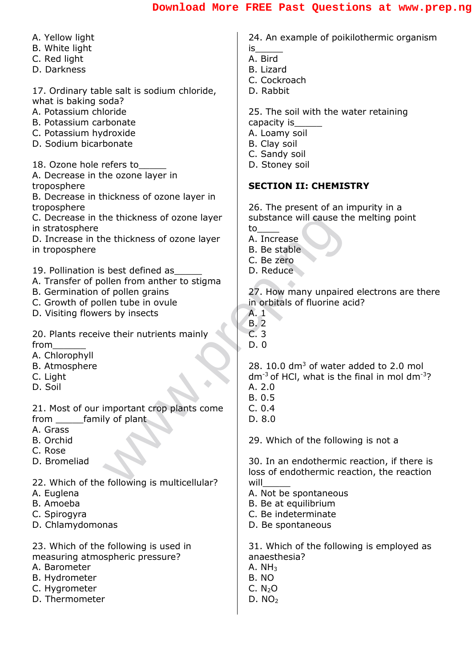| A. Yellow light                              | 24. An example of poikilothermic organism                     |
|----------------------------------------------|---------------------------------------------------------------|
| B. White light                               | is                                                            |
| C. Red light                                 | A. Bird                                                       |
| D. Darkness                                  | B. Lizard                                                     |
|                                              | C. Cockroach                                                  |
| 17. Ordinary table salt is sodium chloride,  | D. Rabbit                                                     |
| what is baking soda?                         |                                                               |
| A. Potassium chloride                        | 25. The soil with the water retaining                         |
| B. Potassium carbonate                       | capacity is                                                   |
| C. Potassium hydroxide                       | A. Loamy soil                                                 |
| D. Sodium bicarbonate                        | B. Clay soil                                                  |
|                                              | C. Sandy soil                                                 |
| 18. Ozone hole refers to_                    | D. Stoney soil                                                |
| A. Decrease in the ozone layer in            |                                                               |
| troposphere                                  | <b>SECTION II: CHEMISTRY</b>                                  |
| B. Decrease in thickness of ozone layer in   |                                                               |
| troposphere                                  | 26. The present of an impurity in a                           |
| C. Decrease in the thickness of ozone layer  | substance will cause the melting point                        |
| in stratosphere                              | to                                                            |
| D. Increase in the thickness of ozone layer  | A. Increase                                                   |
| in troposphere                               | B. Be stable                                                  |
|                                              | C. Be zero                                                    |
| 19. Pollination is best defined as           | D. Reduce                                                     |
|                                              |                                                               |
| A. Transfer of pollen from anther to stigma  |                                                               |
| B. Germination of pollen grains              | 27. How many unpaired electrons are there                     |
| C. Growth of pollen tube in ovule            | in orbitals of fluorine acid?                                 |
| D. Visiting flowers by insects               | A <sub>1</sub>                                                |
|                                              | <b>B.2</b><br>C.3                                             |
| 20. Plants receive their nutrients mainly    |                                                               |
| from                                         | D.0                                                           |
| A. Chlorophyll                               |                                                               |
| <b>B.</b> Atmosphere                         | 28. 10.0 dm <sup>3</sup> of water added to 2.0 mol            |
| C. Light                                     | $dm^{-3}$ of HCl, what is the final in mol dm <sup>-3</sup> ? |
| D. Soil                                      | A. 2.0                                                        |
|                                              | B. 0.5                                                        |
| 21. Most of our important crop plants come   | C. 0.4                                                        |
| from family of plant                         | D. 8.0                                                        |
| A. Grass                                     |                                                               |
| B. Orchid                                    | 29. Which of the following is not a                           |
| C. Rose                                      |                                                               |
| D. Bromeliad                                 | 30. In an endothermic reaction, if there is                   |
|                                              | loss of endothermic reaction, the reaction                    |
| 22. Which of the following is multicellular? | will                                                          |
| A. Euglena                                   | A. Not be spontaneous                                         |
| B. Amoeba                                    | B. Be at equilibrium                                          |
| C. Spirogyra                                 | C. Be indeterminate                                           |
| D. Chlamydomonas                             | D. Be spontaneous                                             |
| 23. Which of the following is used in        | 31. Which of the following is employed as                     |
| measuring atmospheric pressure?              | anaesthesia?                                                  |
| A. Barometer                                 | A. $NH3$                                                      |
|                                              | B. NO                                                         |
| B. Hydrometer                                | C. N <sub>2</sub> O                                           |
| C. Hygrometer<br>D. Thermometer              | D. NO <sub>2</sub>                                            |
|                                              |                                                               |
|                                              |                                                               |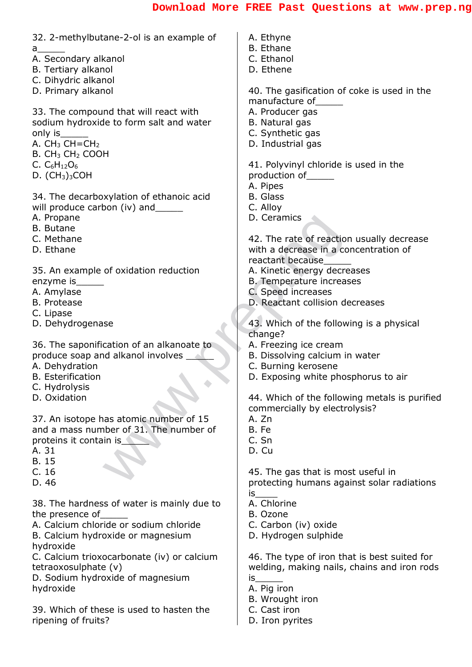| 32. 2-methylbutane-2-ol is an example of   | A. Ethyne                                     |
|--------------------------------------------|-----------------------------------------------|
| a________                                  | <b>B.</b> Ethane                              |
| A. Secondary alkanol                       | C. Ethanol                                    |
| <b>B.</b> Tertiary alkanol                 | D. Ethene                                     |
| C. Dihydric alkanol                        |                                               |
| D. Primary alkanol                         | 40. The gasification of coke is used in the   |
|                                            | manufacture of                                |
| 33. The compound that will react with      | A. Producer gas                               |
| sodium hydroxide to form salt and water    | B. Natural gas                                |
| only is_                                   | C. Synthetic gas                              |
| A. $CH3$ CH=CH <sub>2</sub>                | D. Industrial gas                             |
| B. CH <sub>3</sub> CH <sub>2</sub> COOH    |                                               |
| C. $C_6H_{12}O_6$                          | 41. Polyvinyl chloride is used in the         |
| $D.$ (CH <sub>3</sub> ) <sub>3</sub> COH   | production of                                 |
|                                            | A. Pipes                                      |
| 34. The decarboxylation of ethanoic acid   | <b>B.</b> Glass                               |
| will produce carbon (iv) and               | C. Alloy                                      |
| A. Propane                                 | D. Ceramics                                   |
| <b>B.</b> Butane                           |                                               |
| C. Methane                                 | 42. The rate of reaction usually decrease     |
| D. Ethane                                  | with a decrease in a concentration of         |
|                                            | reactant because                              |
| 35. An example of oxidation reduction      | A. Kinetic energy decreases                   |
| enzyme is_                                 | B. Temperature increases                      |
| A. Amylase                                 | C. Speed increases                            |
| <b>B.</b> Protease                         | D. Reactant collision decreases               |
| C. Lipase                                  |                                               |
| D. Dehydrogenase                           | 43. Which of the following is a physical      |
|                                            | change?                                       |
| 36. The saponification of an alkanoate to  | A. Freezing ice cream                         |
| produce soap and alkanol involves _        | B. Dissolving calcium in water                |
| A. Dehydration                             | C. Burning kerosene                           |
| <b>B.</b> Esterification                   | D. Exposing white phosphorus to air           |
| C. Hydrolysis                              |                                               |
| D. Oxidation                               | 44. Which of the following metals is purified |
|                                            | commercially by electrolysis?                 |
| 37. An isotope has atomic number of 15     | A. Zn                                         |
| and a mass number of 31. The number of     | B. Fe                                         |
| proteins it contain is                     | C. Sn                                         |
| A. 31                                      | D. Cu                                         |
| <b>B.15</b>                                |                                               |
| C.16                                       | 45. The gas that is most useful in            |
| D. 46                                      | protecting humans against solar radiations    |
|                                            | is                                            |
| 38. The hardness of water is mainly due to | A. Chlorine                                   |
| the presence of                            | B. Ozone                                      |
| A. Calcium chloride or sodium chloride     | C. Carbon (iv) oxide                          |
| B. Calcium hydroxide or magnesium          | D. Hydrogen sulphide                          |
| hydroxide                                  |                                               |
| C. Calcium trioxocarbonate (iv) or calcium | 46. The type of iron that is best suited for  |
| tetraoxosulphate (v)                       | welding, making nails, chains and iron rods   |
| D. Sodium hydroxide of magnesium           | is                                            |
| hydroxide                                  | A. Pig iron                                   |
|                                            | B. Wrought iron                               |
| 39. Which of these is used to hasten the   | C. Cast iron                                  |

D. Iron pyrites

 $\overline{\phantom{a}}$ 

ripening of fruits?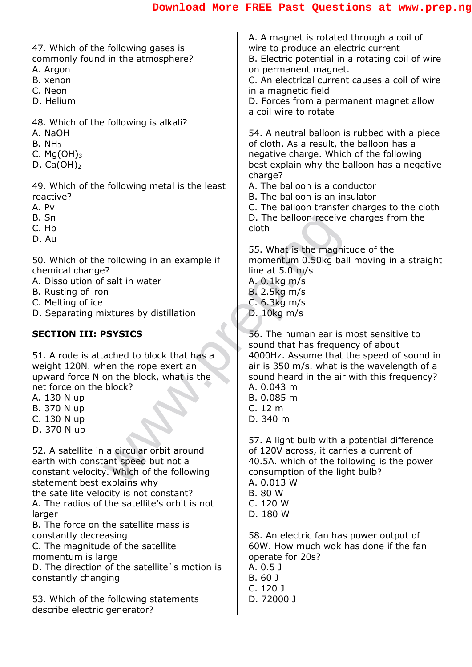D. The balloon receive<br>
solution of the following in an example if<br>
S. What is the magnitude<br>
S. What is the magnitude<br>
ine at 5.0 m/s<br>
B. 2.5 kg m/s<br>
B. 2.5 kg m/s<br>
C. 6.3 kg m/s<br>
SYSICS<br>
SVSICS<br>
STORES<br>
S. The human ear 47. Which of the following gases is commonly found in the atmosphere? A. Argon B. xenon C. Neon D. Helium 48. Which of the following is alkali? A. NaOH  $B. NH<sub>3</sub>$ C.  $Mg(OH)_3$ D.  $Ca(OH)_2$ 49. Which of the following metal is the least reactive? A. Pv B. Sn C. Hb D. Au 50. Which of the following in an example if chemical change? A. Dissolution of salt in water B. Rusting of iron C. Melting of ice D. Separating mixtures by distillation **SECTION III: PSYSICS** 51. A rode is attached to block that has a weight 120N. when the rope exert an upward force N on the block, what is the net force on the block? A. 130 N up B. 370 N up C. 130 N up D. 370 N up 52. A satellite in a circular orbit around earth with constant speed but not a constant velocity. Which of the following statement best explains why the satellite velocity is not constant? A. The radius of the satellite's orbit is not larger B. The force on the satellite mass is constantly decreasing C. The magnitude of the satellite momentum is large D. The direction of the satellite's motion is constantly changing 53. Which of the following statements describe electric generator? A. A magnet is rotated through a coil of wire to produce an electric current B. Electric potential in a rotating coil of wire on permanent magnet. C. An electrical current causes a coil of wire in a magnetic field D. Forces from a permanent magnet allow a coil wire to rotate 54. A neutral balloon is rubbed with a piece of cloth. As a result, the balloon has a negative charge. Which of the following best explain why the balloon has a negative charge? A. The balloon is a conductor B. The balloon is an insulator C. The balloon transfer charges to the cloth D. The balloon receive charges from the cloth 55. What is the magnitude of the momentum 0.50kg ball moving in a straight line at 5.0 m/s A. 0.1kg m/s B. 2.5kg m/s C. 6.3kg m/s D. 10kg m/s 56. The human ear is most sensitive to sound that has frequency of about 4000Hz. Assume that the speed of sound in air is 350 m/s. what is the wavelength of a sound heard in the air with this frequency? A. 0.043 m B. 0.085 m C. 12 m D. 340 m 57. A light bulb with a potential difference of 120V across, it carries a current of 40.5A. which of the following is the power consumption of the light bulb? A. 0.013 W B. 80 W C. 120 W D. 180 W 58. An electric fan has power output of 60W. How much wok has done if the fan operate for 20s? A. 0.5 J B. 60 J C. 120 J D. 72000 J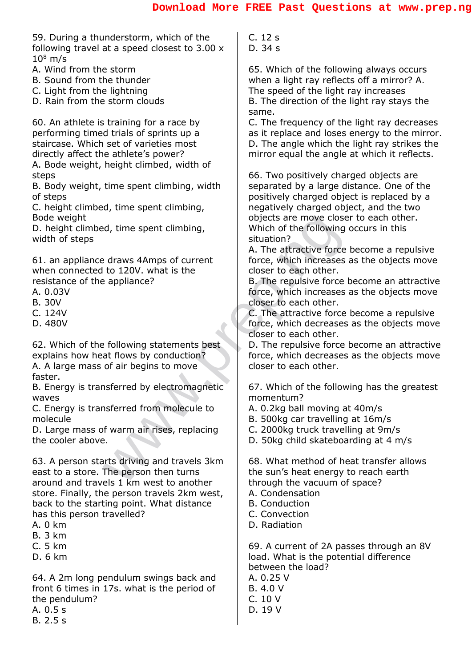59. During a thunderstorm, which of the following travel at a speed closest to 3.00 x  $10^8$  m/s

- A. Wind from the storm
- B. Sound from the thunder
- C. Light from the lightning
- D. Rain from the storm clouds

60. An athlete is training for a race by performing timed trials of sprints up a staircase. Which set of varieties most directly affect the athlete's power?

A. Bode weight, height climbed, width of steps

B. Body weight, time spent climbing, width of steps

C. height climbed, time spent climbing, Bode weight

D. height climbed, time spent climbing, width of steps

61. an appliance draws 4Amps of current when connected to 120V. what is the resistance of the appliance?

- A. 0.03V
- B. 30V
- C. 124V
- D. 480V

62. Which of the following statements best explains how heat flows by conduction?

A. A large mass of air begins to move faster.

B. Energy is transferred by electromagnetic waves

C. Energy is transferred from molecule to molecule

D. Large mass of warm air rises, replacing the cooler above.

A time spent climbing,<br>
a d, time spent climbing,<br>
a situation?<br>
a situation?<br>
a situation?<br>
a situation?<br>
a situation?<br>
a situation?<br>
a situation?<br>
a situation?<br>
B. The repulsive force of the following statements best<br>
do 63. A person starts driving and travels 3km east to a store. The person then turns around and travels 1 km west to another store. Finally, the person travels 2km west, back to the starting point. What distance has this person travelled?

- A. 0 km
- B. 3 km
- C. 5 km
- D. 6 km

64. A 2m long pendulum swings back and front 6 times in 17s. what is the period of the pendulum?

- A. 0.5 s
- B. 2.5 s

C. 12 s D. 34 s

65. Which of the following always occurs when a light ray reflects off a mirror? A. The speed of the light ray increases B. The direction of the light ray stays the same.

C. The frequency of the light ray decreases as it replace and loses energy to the mirror. D. The angle which the light ray strikes the mirror equal the angle at which it reflects.

66. Two positively charged objects are separated by a large distance. One of the positively charged object is replaced by a negatively charged object, and the two objects are move closer to each other. Which of the following occurs in this situation?

A. The attractive force become a repulsive force, which increases as the objects move closer to each other.

B. The repulsive force become an attractive force, which increases as the objects move closer to each other.

C. The attractive force become a repulsive force, which decreases as the objects move closer to each other.

D. The repulsive force become an attractive force, which decreases as the objects move closer to each other.

67. Which of the following has the greatest momentum?

- A. 0.2kg ball moving at 40m/s
- B. 500kg car travelling at 16m/s
- C. 2000kg truck travelling at 9m/s
- D. 50kg child skateboarding at 4 m/s

68. What method of heat transfer allows the sun's heat energy to reach earth through the vacuum of space?

- A. Condensation
- B. Conduction
- C. Convection
- D. Radiation

69. A current of 2A passes through an 8V load. What is the potential difference between the load?

A. 0.25 V

- B. 4.0 V
- C. 10 V
- D. 19 V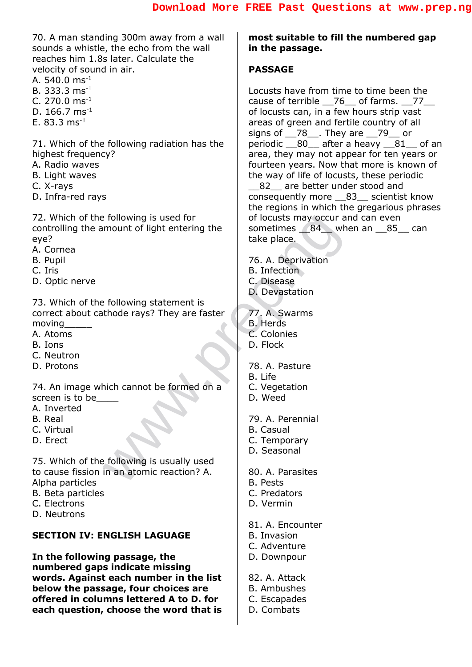70. A man standing 300m away from a wall sounds a whistle, the echo from the wall reaches him 1.8s later. Calculate the velocity of sound in air.

- A. 540.0 ms-1
- B. 333.3 ms-1
- C. 270.0  $\text{ms}^{-1}$
- D. 166.7 ms-1
- E.  $83.3 \text{ ms}^{-1}$

71. Which of the following radiation has the highest frequency?

- A. Radio waves
- B. Light waves
- C. X-rays
- D. Infra-red rays

72. Which of the following is used for controlling the amount of light entering the eye?

- A. Cornea
- B. Pupil
- C. Iris
- D. Optic nerve

Following is used for<br>
mount of light entering the<br>
take place.<br>
To A. Deprivation<br>
B. Infection<br>
D. Devastation<br>
D. Devastation<br>
C. Disease<br>
D. Devastation<br>
C. Colonies<br>
D. Flock<br>
78. A. Pasture<br>
78. A. Pasture<br>
78. A. Pa 73. Which of the following statement is correct about cathode rays? They are faster moving\_\_\_\_\_

- A. Atoms
- B. Ions
- C. Neutron
- D. Protons

74. An image which cannot be formed on a screen is to be

- A. Inverted
- B. Real
- C. Virtual
- D. Erect

75. Which of the following is usually used to cause fission in an atomic reaction? A. Alpha particles

- B. Beta particles
- C. Electrons
- D. Neutrons

#### **SECTION IV: ENGLISH LAGUAGE**

**In the following passage, the numbered gaps indicate missing words. Against each number in the list below the passage, four choices are offered in columns lettered A to D. for each question, choose the word that is**  **most suitable to fill the numbered gap in the passage.**

#### **PASSAGE**

Locusts have from time to time been the cause of terrible \_\_76\_ of farms. \_\_77\_\_\_ of locusts can, in a few hours strip vast areas of green and fertile country of all signs of  $28$ , They are  $29$  or periodic 80 after a heavy 81 of an area, they may not appear for ten years or fourteen years. Now that more is known of the way of life of locusts, these periodic 82 are better under stood and consequently more \_\_83\_\_ scientist know the regions in which the gregarious phrases of locusts may occur and can even sometimes 84\_ when an 85\_ can take place.

76. A. Deprivation

- B. Infection
- C. Disease
- D. Devastation

77. A. Swarms

- B. Herds
- C. Colonies
- D. Flock

78. A. Pasture B. Life

- C. Vegetation
- D. Weed

79. A. Perennial

- B. Casual
- C. Temporary
- D. Seasonal
- 80. A. Parasites
- B. Pests
- C. Predators
- D. Vermin
- 81. A. Encounter
- B. Invasion
- C. Adventure
- D. Downpour
- 82. A. Attack
- B. Ambushes
- C. Escapades
- D. Combats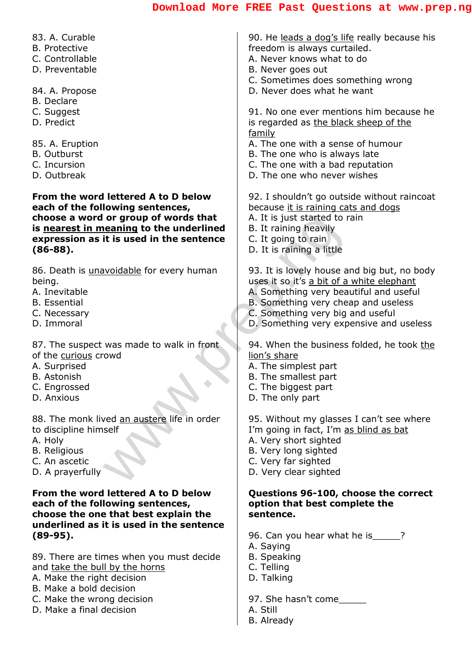| 83. A. Curable                                        | 90. He leads a dog's life really because his    |
|-------------------------------------------------------|-------------------------------------------------|
| <b>B.</b> Protective                                  | freedom is always curtailed.                    |
| C. Controllable                                       | A. Never knows what to do                       |
| D. Preventable                                        | B. Never goes out                               |
|                                                       | C. Sometimes does something wrong               |
| 84. A. Propose                                        | D. Never does what he want                      |
| <b>B.</b> Declare                                     |                                                 |
| C. Suggest                                            | 91. No one ever mentions him because he         |
| D. Predict                                            | is regarded as the black sheep of the<br>family |
| 85. A. Eruption                                       | A. The one with a sense of humour               |
| <b>B.</b> Outburst                                    | B. The one who is always late                   |
| C. Incursion                                          | C. The one with a bad reputation                |
| D. Outbreak                                           | D. The one who never wishes                     |
| From the word lettered A to D below                   | 92. I shouldn't go outside without raincoat     |
| each of the following sentences,                      | because it is raining cats and dogs             |
| choose a word or group of words that                  | A. It is just started to rain                   |
| is nearest in meaning to the underlined               | B. It raining heavily                           |
| expression as it is used in the sentence              | C. It going to rain                             |
| $(86 - 88).$                                          | D. It is raining a little                       |
| 86. Death is <i>unavoidable</i> for every human       | 93. It is lovely house and big but, no body     |
| being.                                                | uses it so it's a bit of a white elephant       |
| A. Inevitable                                         | A. Something very beautiful and useful          |
| <b>B.</b> Essential                                   | B. Something very cheap and useless             |
| C. Necessary                                          | C. Something very big and useful                |
| D. Immoral                                            | D. Something very expensive and useless         |
|                                                       |                                                 |
| 87. The suspect was made to walk in front             | 94. When the business folded, he took the       |
| of the curious crowd                                  | lion's share                                    |
| A. Surprised                                          | A. The simplest part                            |
| <b>B.</b> Astonish                                    | B. The smallest part                            |
| C. Engrossed<br>D. Anxious                            | C. The biggest part                             |
|                                                       | D. The only part                                |
| 88. The monk lived an austere life in order           | 95. Without my glasses I can't see where        |
| to discipline himself                                 | I'm going in fact, I'm as blind as bat          |
| A. Holy                                               | A. Very short sighted                           |
| <b>B.</b> Religious                                   | B. Very long sighted                            |
| C. An ascetic                                         | C. Very far sighted                             |
| D. A prayerfully                                      | D. Very clear sighted                           |
| From the word lettered A to D below                   | Questions 96-100, choose the correct            |
| each of the following sentences,                      | option that best complete the                   |
| choose the one that best explain the                  | sentence.                                       |
| underlined as it is used in the sentence              |                                                 |
| $(89-95).$                                            | 96. Can you hear what he is                     |
|                                                       | A. Saying                                       |
| 89. There are times when you must decide              | <b>B.</b> Speaking                              |
| and take the bull by the horns                        | C. Telling                                      |
| A. Make the right decision<br>B. Make a bold decision | D. Talking                                      |
| C. Make the wrong decision                            | 97. She hasn't come                             |
|                                                       |                                                 |

A. Still B. Already

D. Make a final decision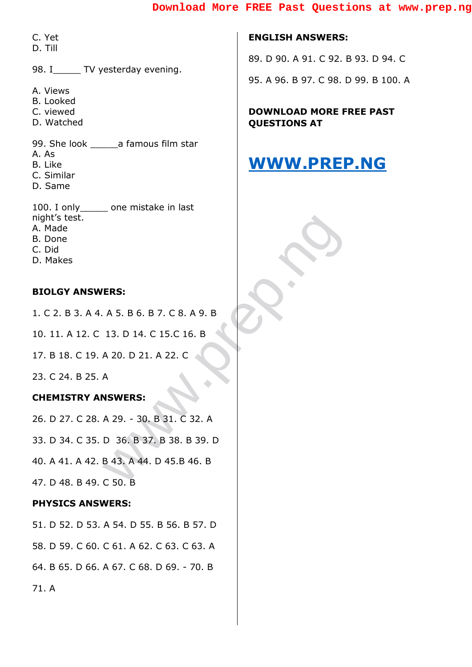C. Yet

D. Till

98. I TV yesterday evening.

- A. Views
- B. Looked
- C. viewed
- D. Watched

99. She look a famous film star

- A. As
- B. Like
- C. Similar
- D. Same

100. I only \_\_\_\_\_\_ one mistake in last night's test. A. Made B. Done C. Did D. Makes

#### **BIOLGY ANSWERS:**

1. C 2. B 3. A 4. A 5. B 6. B 7. C 8. A 9. B 10. 11. A 12. C 13. D 14. C 15.C 16. B 17. B 18. C 19. A 20. D 21. A 22. C

23. C 24. B 25. A

71. A

#### **CHEMISTRY ANSWERS:**

**ERS:**<br>A 5. B 6. B 7. C 8. A 9. B<br>13. D 14. C 15.C 16. B<br>A 20. D 21. A 22. C<br>A<br>WEWERS:<br>A 29. - 30. B 31. C 32. A<br>D 36. B 37. B 38. B 39. D<br>B 43. A 44. D 45.B 46. B<br>C 50. B 26. D 27. C 28. A 29. - 30. B 31. C 32. A 33. D 34. C 35. D 36. B 37. B 38. B 39. D 40. A 41. A 42. B 43. A 44. D 45.B 46. B 47. D 48. B 49. C 50. B **PHYSICS ANSWERS:** 51. D 52. D 53. A 54. D 55. B 56. B 57. D 58. D 59. C 60. C 61. A 62. C 63. C 63. A

64. B 65. D 66. A 67. C 68. D 69. - 70. B

**ENGLISH ANSWERS:** 89. D 90. A 91. C 92. B 93. D 94. C 95. A 96. B 97. C 98. D 99. B 100. A

**DOWNLOAD MORE FREE PAST QUESTIONS AT** 

## **[WWW.PREP.NG](http://www.prep.ng/)**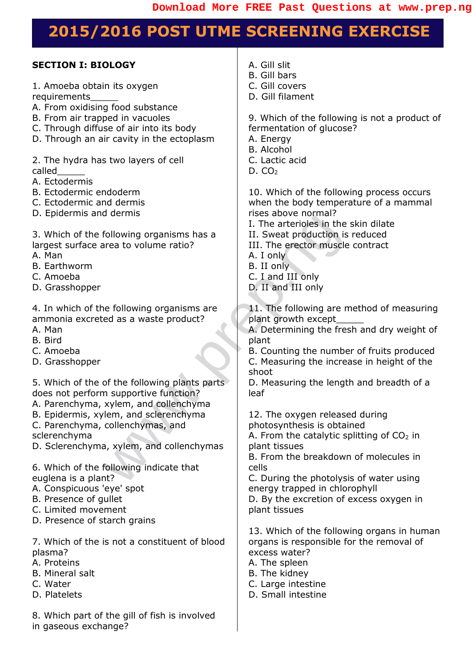## **2015/2016 POST UTME SCREENING EXERCISE**

| A. Gill slit<br><b>SECTION I: BIOLOGY</b><br><b>B.</b> Gill bars<br>C. Gill covers<br>1. Amoeba obtain its oxygen<br>D. Gill filament<br>requirements<br>A. From oxidising food substance<br>B. From air trapped in vacuoles<br>9. Which of the following is not a product of<br>C. Through diffuse of air into its body<br>fermentation of glucose?<br>D. Through an air cavity in the ectoplasm<br>A. Energy<br><b>B.</b> Alcohol<br>2. The hydra has two layers of cell<br>C. Lactic acid<br>called<br>D. CO <sub>2</sub><br>A. Ectodermis<br>B. Ectodermic endoderm<br>10. Which of the following process occurs<br>C. Ectodermic and dermis<br>when the body temperature of a mammal<br>rises above normal?<br>D. Epidermis and dermis<br>I. The arterioles in the skin dilate<br>3. Which of the following organisms has a<br>II. Sweat production is reduced<br>III. The erector muscle contract<br>largest surface area to volume ratio?<br>A. Man<br>A. I only<br><b>B.</b> Earthworm<br>B. II only<br>C. I and III only<br>C. Amoeba<br>D. Grasshopper<br>D. II and III only<br>11. The following are method of measuring<br>4. In which of the following organisms are<br>ammonia excreted as a waste product?<br>plant growth except<br>A. Determining the fresh and dry weight of<br>A. Man<br>B. Bird<br>plant<br>C. Amoeba<br>B. Counting the number of fruits produced<br>D. Grasshopper<br>C. Measuring the increase in height of the<br>shoot<br>5. Which of the of the following plants parts<br>D. Measuring the length and breadth of a<br>does not perform supportive function?<br>leaf<br>A. Parenchyma, xylem, and collenchyma<br>B. Epidermis, xylem, and sclerenchyma<br>12. The oxygen released during<br>C. Parenchyma, collenchymas, and<br>photosynthesis is obtained<br>sclerenchyma<br>A. From the catalytic splitting of $CO2$ in<br>D. Sclerenchyma, xylem, and collenchymas<br>plant tissues<br>B. From the breakdown of molecules in<br>6. Which of the following indicate that<br>cells<br>euglena is a plant?<br>C. During the photolysis of water using<br>A. Conspicuous 'eye' spot<br>energy trapped in chlorophyll<br>B. Presence of gullet<br>D. By the excretion of excess oxygen in<br>C. Limited movement<br>plant tissues<br>D. Presence of starch grains<br>13. Which of the following organs in human<br>7. Which of the is not a constituent of blood<br>organs is responsible for the removal of<br>plasma?<br>excess water?<br>A. Proteins<br>A. The spleen<br><b>B.</b> Mineral salt<br>B. The kidney<br>C. Large intestine<br>C. Water<br>D. Platelets<br>D. Small intestine<br>8. Which part of the gill of fish is involved<br>in gaseous exchange? |  |
|-------------------------------------------------------------------------------------------------------------------------------------------------------------------------------------------------------------------------------------------------------------------------------------------------------------------------------------------------------------------------------------------------------------------------------------------------------------------------------------------------------------------------------------------------------------------------------------------------------------------------------------------------------------------------------------------------------------------------------------------------------------------------------------------------------------------------------------------------------------------------------------------------------------------------------------------------------------------------------------------------------------------------------------------------------------------------------------------------------------------------------------------------------------------------------------------------------------------------------------------------------------------------------------------------------------------------------------------------------------------------------------------------------------------------------------------------------------------------------------------------------------------------------------------------------------------------------------------------------------------------------------------------------------------------------------------------------------------------------------------------------------------------------------------------------------------------------------------------------------------------------------------------------------------------------------------------------------------------------------------------------------------------------------------------------------------------------------------------------------------------------------------------------------------------------------------------------------------------------------------------------------------------------------------------------------------------------------------------------------------------------------------------------------------------------------------------------------------------------------------------------------------------------------------------------------------------------------------------------------------------------------------------------------------------------------------------------------|--|
|                                                                                                                                                                                                                                                                                                                                                                                                                                                                                                                                                                                                                                                                                                                                                                                                                                                                                                                                                                                                                                                                                                                                                                                                                                                                                                                                                                                                                                                                                                                                                                                                                                                                                                                                                                                                                                                                                                                                                                                                                                                                                                                                                                                                                                                                                                                                                                                                                                                                                                                                                                                                                                                                                                             |  |
|                                                                                                                                                                                                                                                                                                                                                                                                                                                                                                                                                                                                                                                                                                                                                                                                                                                                                                                                                                                                                                                                                                                                                                                                                                                                                                                                                                                                                                                                                                                                                                                                                                                                                                                                                                                                                                                                                                                                                                                                                                                                                                                                                                                                                                                                                                                                                                                                                                                                                                                                                                                                                                                                                                             |  |
|                                                                                                                                                                                                                                                                                                                                                                                                                                                                                                                                                                                                                                                                                                                                                                                                                                                                                                                                                                                                                                                                                                                                                                                                                                                                                                                                                                                                                                                                                                                                                                                                                                                                                                                                                                                                                                                                                                                                                                                                                                                                                                                                                                                                                                                                                                                                                                                                                                                                                                                                                                                                                                                                                                             |  |
|                                                                                                                                                                                                                                                                                                                                                                                                                                                                                                                                                                                                                                                                                                                                                                                                                                                                                                                                                                                                                                                                                                                                                                                                                                                                                                                                                                                                                                                                                                                                                                                                                                                                                                                                                                                                                                                                                                                                                                                                                                                                                                                                                                                                                                                                                                                                                                                                                                                                                                                                                                                                                                                                                                             |  |
|                                                                                                                                                                                                                                                                                                                                                                                                                                                                                                                                                                                                                                                                                                                                                                                                                                                                                                                                                                                                                                                                                                                                                                                                                                                                                                                                                                                                                                                                                                                                                                                                                                                                                                                                                                                                                                                                                                                                                                                                                                                                                                                                                                                                                                                                                                                                                                                                                                                                                                                                                                                                                                                                                                             |  |
|                                                                                                                                                                                                                                                                                                                                                                                                                                                                                                                                                                                                                                                                                                                                                                                                                                                                                                                                                                                                                                                                                                                                                                                                                                                                                                                                                                                                                                                                                                                                                                                                                                                                                                                                                                                                                                                                                                                                                                                                                                                                                                                                                                                                                                                                                                                                                                                                                                                                                                                                                                                                                                                                                                             |  |
|                                                                                                                                                                                                                                                                                                                                                                                                                                                                                                                                                                                                                                                                                                                                                                                                                                                                                                                                                                                                                                                                                                                                                                                                                                                                                                                                                                                                                                                                                                                                                                                                                                                                                                                                                                                                                                                                                                                                                                                                                                                                                                                                                                                                                                                                                                                                                                                                                                                                                                                                                                                                                                                                                                             |  |
|                                                                                                                                                                                                                                                                                                                                                                                                                                                                                                                                                                                                                                                                                                                                                                                                                                                                                                                                                                                                                                                                                                                                                                                                                                                                                                                                                                                                                                                                                                                                                                                                                                                                                                                                                                                                                                                                                                                                                                                                                                                                                                                                                                                                                                                                                                                                                                                                                                                                                                                                                                                                                                                                                                             |  |
|                                                                                                                                                                                                                                                                                                                                                                                                                                                                                                                                                                                                                                                                                                                                                                                                                                                                                                                                                                                                                                                                                                                                                                                                                                                                                                                                                                                                                                                                                                                                                                                                                                                                                                                                                                                                                                                                                                                                                                                                                                                                                                                                                                                                                                                                                                                                                                                                                                                                                                                                                                                                                                                                                                             |  |
|                                                                                                                                                                                                                                                                                                                                                                                                                                                                                                                                                                                                                                                                                                                                                                                                                                                                                                                                                                                                                                                                                                                                                                                                                                                                                                                                                                                                                                                                                                                                                                                                                                                                                                                                                                                                                                                                                                                                                                                                                                                                                                                                                                                                                                                                                                                                                                                                                                                                                                                                                                                                                                                                                                             |  |
|                                                                                                                                                                                                                                                                                                                                                                                                                                                                                                                                                                                                                                                                                                                                                                                                                                                                                                                                                                                                                                                                                                                                                                                                                                                                                                                                                                                                                                                                                                                                                                                                                                                                                                                                                                                                                                                                                                                                                                                                                                                                                                                                                                                                                                                                                                                                                                                                                                                                                                                                                                                                                                                                                                             |  |
|                                                                                                                                                                                                                                                                                                                                                                                                                                                                                                                                                                                                                                                                                                                                                                                                                                                                                                                                                                                                                                                                                                                                                                                                                                                                                                                                                                                                                                                                                                                                                                                                                                                                                                                                                                                                                                                                                                                                                                                                                                                                                                                                                                                                                                                                                                                                                                                                                                                                                                                                                                                                                                                                                                             |  |
|                                                                                                                                                                                                                                                                                                                                                                                                                                                                                                                                                                                                                                                                                                                                                                                                                                                                                                                                                                                                                                                                                                                                                                                                                                                                                                                                                                                                                                                                                                                                                                                                                                                                                                                                                                                                                                                                                                                                                                                                                                                                                                                                                                                                                                                                                                                                                                                                                                                                                                                                                                                                                                                                                                             |  |
|                                                                                                                                                                                                                                                                                                                                                                                                                                                                                                                                                                                                                                                                                                                                                                                                                                                                                                                                                                                                                                                                                                                                                                                                                                                                                                                                                                                                                                                                                                                                                                                                                                                                                                                                                                                                                                                                                                                                                                                                                                                                                                                                                                                                                                                                                                                                                                                                                                                                                                                                                                                                                                                                                                             |  |
|                                                                                                                                                                                                                                                                                                                                                                                                                                                                                                                                                                                                                                                                                                                                                                                                                                                                                                                                                                                                                                                                                                                                                                                                                                                                                                                                                                                                                                                                                                                                                                                                                                                                                                                                                                                                                                                                                                                                                                                                                                                                                                                                                                                                                                                                                                                                                                                                                                                                                                                                                                                                                                                                                                             |  |
|                                                                                                                                                                                                                                                                                                                                                                                                                                                                                                                                                                                                                                                                                                                                                                                                                                                                                                                                                                                                                                                                                                                                                                                                                                                                                                                                                                                                                                                                                                                                                                                                                                                                                                                                                                                                                                                                                                                                                                                                                                                                                                                                                                                                                                                                                                                                                                                                                                                                                                                                                                                                                                                                                                             |  |
|                                                                                                                                                                                                                                                                                                                                                                                                                                                                                                                                                                                                                                                                                                                                                                                                                                                                                                                                                                                                                                                                                                                                                                                                                                                                                                                                                                                                                                                                                                                                                                                                                                                                                                                                                                                                                                                                                                                                                                                                                                                                                                                                                                                                                                                                                                                                                                                                                                                                                                                                                                                                                                                                                                             |  |
|                                                                                                                                                                                                                                                                                                                                                                                                                                                                                                                                                                                                                                                                                                                                                                                                                                                                                                                                                                                                                                                                                                                                                                                                                                                                                                                                                                                                                                                                                                                                                                                                                                                                                                                                                                                                                                                                                                                                                                                                                                                                                                                                                                                                                                                                                                                                                                                                                                                                                                                                                                                                                                                                                                             |  |
|                                                                                                                                                                                                                                                                                                                                                                                                                                                                                                                                                                                                                                                                                                                                                                                                                                                                                                                                                                                                                                                                                                                                                                                                                                                                                                                                                                                                                                                                                                                                                                                                                                                                                                                                                                                                                                                                                                                                                                                                                                                                                                                                                                                                                                                                                                                                                                                                                                                                                                                                                                                                                                                                                                             |  |
|                                                                                                                                                                                                                                                                                                                                                                                                                                                                                                                                                                                                                                                                                                                                                                                                                                                                                                                                                                                                                                                                                                                                                                                                                                                                                                                                                                                                                                                                                                                                                                                                                                                                                                                                                                                                                                                                                                                                                                                                                                                                                                                                                                                                                                                                                                                                                                                                                                                                                                                                                                                                                                                                                                             |  |
|                                                                                                                                                                                                                                                                                                                                                                                                                                                                                                                                                                                                                                                                                                                                                                                                                                                                                                                                                                                                                                                                                                                                                                                                                                                                                                                                                                                                                                                                                                                                                                                                                                                                                                                                                                                                                                                                                                                                                                                                                                                                                                                                                                                                                                                                                                                                                                                                                                                                                                                                                                                                                                                                                                             |  |
|                                                                                                                                                                                                                                                                                                                                                                                                                                                                                                                                                                                                                                                                                                                                                                                                                                                                                                                                                                                                                                                                                                                                                                                                                                                                                                                                                                                                                                                                                                                                                                                                                                                                                                                                                                                                                                                                                                                                                                                                                                                                                                                                                                                                                                                                                                                                                                                                                                                                                                                                                                                                                                                                                                             |  |
|                                                                                                                                                                                                                                                                                                                                                                                                                                                                                                                                                                                                                                                                                                                                                                                                                                                                                                                                                                                                                                                                                                                                                                                                                                                                                                                                                                                                                                                                                                                                                                                                                                                                                                                                                                                                                                                                                                                                                                                                                                                                                                                                                                                                                                                                                                                                                                                                                                                                                                                                                                                                                                                                                                             |  |
|                                                                                                                                                                                                                                                                                                                                                                                                                                                                                                                                                                                                                                                                                                                                                                                                                                                                                                                                                                                                                                                                                                                                                                                                                                                                                                                                                                                                                                                                                                                                                                                                                                                                                                                                                                                                                                                                                                                                                                                                                                                                                                                                                                                                                                                                                                                                                                                                                                                                                                                                                                                                                                                                                                             |  |
|                                                                                                                                                                                                                                                                                                                                                                                                                                                                                                                                                                                                                                                                                                                                                                                                                                                                                                                                                                                                                                                                                                                                                                                                                                                                                                                                                                                                                                                                                                                                                                                                                                                                                                                                                                                                                                                                                                                                                                                                                                                                                                                                                                                                                                                                                                                                                                                                                                                                                                                                                                                                                                                                                                             |  |
|                                                                                                                                                                                                                                                                                                                                                                                                                                                                                                                                                                                                                                                                                                                                                                                                                                                                                                                                                                                                                                                                                                                                                                                                                                                                                                                                                                                                                                                                                                                                                                                                                                                                                                                                                                                                                                                                                                                                                                                                                                                                                                                                                                                                                                                                                                                                                                                                                                                                                                                                                                                                                                                                                                             |  |
|                                                                                                                                                                                                                                                                                                                                                                                                                                                                                                                                                                                                                                                                                                                                                                                                                                                                                                                                                                                                                                                                                                                                                                                                                                                                                                                                                                                                                                                                                                                                                                                                                                                                                                                                                                                                                                                                                                                                                                                                                                                                                                                                                                                                                                                                                                                                                                                                                                                                                                                                                                                                                                                                                                             |  |
|                                                                                                                                                                                                                                                                                                                                                                                                                                                                                                                                                                                                                                                                                                                                                                                                                                                                                                                                                                                                                                                                                                                                                                                                                                                                                                                                                                                                                                                                                                                                                                                                                                                                                                                                                                                                                                                                                                                                                                                                                                                                                                                                                                                                                                                                                                                                                                                                                                                                                                                                                                                                                                                                                                             |  |
|                                                                                                                                                                                                                                                                                                                                                                                                                                                                                                                                                                                                                                                                                                                                                                                                                                                                                                                                                                                                                                                                                                                                                                                                                                                                                                                                                                                                                                                                                                                                                                                                                                                                                                                                                                                                                                                                                                                                                                                                                                                                                                                                                                                                                                                                                                                                                                                                                                                                                                                                                                                                                                                                                                             |  |
|                                                                                                                                                                                                                                                                                                                                                                                                                                                                                                                                                                                                                                                                                                                                                                                                                                                                                                                                                                                                                                                                                                                                                                                                                                                                                                                                                                                                                                                                                                                                                                                                                                                                                                                                                                                                                                                                                                                                                                                                                                                                                                                                                                                                                                                                                                                                                                                                                                                                                                                                                                                                                                                                                                             |  |
|                                                                                                                                                                                                                                                                                                                                                                                                                                                                                                                                                                                                                                                                                                                                                                                                                                                                                                                                                                                                                                                                                                                                                                                                                                                                                                                                                                                                                                                                                                                                                                                                                                                                                                                                                                                                                                                                                                                                                                                                                                                                                                                                                                                                                                                                                                                                                                                                                                                                                                                                                                                                                                                                                                             |  |
|                                                                                                                                                                                                                                                                                                                                                                                                                                                                                                                                                                                                                                                                                                                                                                                                                                                                                                                                                                                                                                                                                                                                                                                                                                                                                                                                                                                                                                                                                                                                                                                                                                                                                                                                                                                                                                                                                                                                                                                                                                                                                                                                                                                                                                                                                                                                                                                                                                                                                                                                                                                                                                                                                                             |  |
|                                                                                                                                                                                                                                                                                                                                                                                                                                                                                                                                                                                                                                                                                                                                                                                                                                                                                                                                                                                                                                                                                                                                                                                                                                                                                                                                                                                                                                                                                                                                                                                                                                                                                                                                                                                                                                                                                                                                                                                                                                                                                                                                                                                                                                                                                                                                                                                                                                                                                                                                                                                                                                                                                                             |  |
|                                                                                                                                                                                                                                                                                                                                                                                                                                                                                                                                                                                                                                                                                                                                                                                                                                                                                                                                                                                                                                                                                                                                                                                                                                                                                                                                                                                                                                                                                                                                                                                                                                                                                                                                                                                                                                                                                                                                                                                                                                                                                                                                                                                                                                                                                                                                                                                                                                                                                                                                                                                                                                                                                                             |  |
|                                                                                                                                                                                                                                                                                                                                                                                                                                                                                                                                                                                                                                                                                                                                                                                                                                                                                                                                                                                                                                                                                                                                                                                                                                                                                                                                                                                                                                                                                                                                                                                                                                                                                                                                                                                                                                                                                                                                                                                                                                                                                                                                                                                                                                                                                                                                                                                                                                                                                                                                                                                                                                                                                                             |  |
|                                                                                                                                                                                                                                                                                                                                                                                                                                                                                                                                                                                                                                                                                                                                                                                                                                                                                                                                                                                                                                                                                                                                                                                                                                                                                                                                                                                                                                                                                                                                                                                                                                                                                                                                                                                                                                                                                                                                                                                                                                                                                                                                                                                                                                                                                                                                                                                                                                                                                                                                                                                                                                                                                                             |  |
|                                                                                                                                                                                                                                                                                                                                                                                                                                                                                                                                                                                                                                                                                                                                                                                                                                                                                                                                                                                                                                                                                                                                                                                                                                                                                                                                                                                                                                                                                                                                                                                                                                                                                                                                                                                                                                                                                                                                                                                                                                                                                                                                                                                                                                                                                                                                                                                                                                                                                                                                                                                                                                                                                                             |  |
|                                                                                                                                                                                                                                                                                                                                                                                                                                                                                                                                                                                                                                                                                                                                                                                                                                                                                                                                                                                                                                                                                                                                                                                                                                                                                                                                                                                                                                                                                                                                                                                                                                                                                                                                                                                                                                                                                                                                                                                                                                                                                                                                                                                                                                                                                                                                                                                                                                                                                                                                                                                                                                                                                                             |  |
|                                                                                                                                                                                                                                                                                                                                                                                                                                                                                                                                                                                                                                                                                                                                                                                                                                                                                                                                                                                                                                                                                                                                                                                                                                                                                                                                                                                                                                                                                                                                                                                                                                                                                                                                                                                                                                                                                                                                                                                                                                                                                                                                                                                                                                                                                                                                                                                                                                                                                                                                                                                                                                                                                                             |  |
|                                                                                                                                                                                                                                                                                                                                                                                                                                                                                                                                                                                                                                                                                                                                                                                                                                                                                                                                                                                                                                                                                                                                                                                                                                                                                                                                                                                                                                                                                                                                                                                                                                                                                                                                                                                                                                                                                                                                                                                                                                                                                                                                                                                                                                                                                                                                                                                                                                                                                                                                                                                                                                                                                                             |  |
|                                                                                                                                                                                                                                                                                                                                                                                                                                                                                                                                                                                                                                                                                                                                                                                                                                                                                                                                                                                                                                                                                                                                                                                                                                                                                                                                                                                                                                                                                                                                                                                                                                                                                                                                                                                                                                                                                                                                                                                                                                                                                                                                                                                                                                                                                                                                                                                                                                                                                                                                                                                                                                                                                                             |  |
|                                                                                                                                                                                                                                                                                                                                                                                                                                                                                                                                                                                                                                                                                                                                                                                                                                                                                                                                                                                                                                                                                                                                                                                                                                                                                                                                                                                                                                                                                                                                                                                                                                                                                                                                                                                                                                                                                                                                                                                                                                                                                                                                                                                                                                                                                                                                                                                                                                                                                                                                                                                                                                                                                                             |  |
|                                                                                                                                                                                                                                                                                                                                                                                                                                                                                                                                                                                                                                                                                                                                                                                                                                                                                                                                                                                                                                                                                                                                                                                                                                                                                                                                                                                                                                                                                                                                                                                                                                                                                                                                                                                                                                                                                                                                                                                                                                                                                                                                                                                                                                                                                                                                                                                                                                                                                                                                                                                                                                                                                                             |  |
|                                                                                                                                                                                                                                                                                                                                                                                                                                                                                                                                                                                                                                                                                                                                                                                                                                                                                                                                                                                                                                                                                                                                                                                                                                                                                                                                                                                                                                                                                                                                                                                                                                                                                                                                                                                                                                                                                                                                                                                                                                                                                                                                                                                                                                                                                                                                                                                                                                                                                                                                                                                                                                                                                                             |  |
|                                                                                                                                                                                                                                                                                                                                                                                                                                                                                                                                                                                                                                                                                                                                                                                                                                                                                                                                                                                                                                                                                                                                                                                                                                                                                                                                                                                                                                                                                                                                                                                                                                                                                                                                                                                                                                                                                                                                                                                                                                                                                                                                                                                                                                                                                                                                                                                                                                                                                                                                                                                                                                                                                                             |  |
|                                                                                                                                                                                                                                                                                                                                                                                                                                                                                                                                                                                                                                                                                                                                                                                                                                                                                                                                                                                                                                                                                                                                                                                                                                                                                                                                                                                                                                                                                                                                                                                                                                                                                                                                                                                                                                                                                                                                                                                                                                                                                                                                                                                                                                                                                                                                                                                                                                                                                                                                                                                                                                                                                                             |  |
|                                                                                                                                                                                                                                                                                                                                                                                                                                                                                                                                                                                                                                                                                                                                                                                                                                                                                                                                                                                                                                                                                                                                                                                                                                                                                                                                                                                                                                                                                                                                                                                                                                                                                                                                                                                                                                                                                                                                                                                                                                                                                                                                                                                                                                                                                                                                                                                                                                                                                                                                                                                                                                                                                                             |  |
|                                                                                                                                                                                                                                                                                                                                                                                                                                                                                                                                                                                                                                                                                                                                                                                                                                                                                                                                                                                                                                                                                                                                                                                                                                                                                                                                                                                                                                                                                                                                                                                                                                                                                                                                                                                                                                                                                                                                                                                                                                                                                                                                                                                                                                                                                                                                                                                                                                                                                                                                                                                                                                                                                                             |  |
|                                                                                                                                                                                                                                                                                                                                                                                                                                                                                                                                                                                                                                                                                                                                                                                                                                                                                                                                                                                                                                                                                                                                                                                                                                                                                                                                                                                                                                                                                                                                                                                                                                                                                                                                                                                                                                                                                                                                                                                                                                                                                                                                                                                                                                                                                                                                                                                                                                                                                                                                                                                                                                                                                                             |  |
|                                                                                                                                                                                                                                                                                                                                                                                                                                                                                                                                                                                                                                                                                                                                                                                                                                                                                                                                                                                                                                                                                                                                                                                                                                                                                                                                                                                                                                                                                                                                                                                                                                                                                                                                                                                                                                                                                                                                                                                                                                                                                                                                                                                                                                                                                                                                                                                                                                                                                                                                                                                                                                                                                                             |  |
|                                                                                                                                                                                                                                                                                                                                                                                                                                                                                                                                                                                                                                                                                                                                                                                                                                                                                                                                                                                                                                                                                                                                                                                                                                                                                                                                                                                                                                                                                                                                                                                                                                                                                                                                                                                                                                                                                                                                                                                                                                                                                                                                                                                                                                                                                                                                                                                                                                                                                                                                                                                                                                                                                                             |  |
|                                                                                                                                                                                                                                                                                                                                                                                                                                                                                                                                                                                                                                                                                                                                                                                                                                                                                                                                                                                                                                                                                                                                                                                                                                                                                                                                                                                                                                                                                                                                                                                                                                                                                                                                                                                                                                                                                                                                                                                                                                                                                                                                                                                                                                                                                                                                                                                                                                                                                                                                                                                                                                                                                                             |  |
|                                                                                                                                                                                                                                                                                                                                                                                                                                                                                                                                                                                                                                                                                                                                                                                                                                                                                                                                                                                                                                                                                                                                                                                                                                                                                                                                                                                                                                                                                                                                                                                                                                                                                                                                                                                                                                                                                                                                                                                                                                                                                                                                                                                                                                                                                                                                                                                                                                                                                                                                                                                                                                                                                                             |  |
|                                                                                                                                                                                                                                                                                                                                                                                                                                                                                                                                                                                                                                                                                                                                                                                                                                                                                                                                                                                                                                                                                                                                                                                                                                                                                                                                                                                                                                                                                                                                                                                                                                                                                                                                                                                                                                                                                                                                                                                                                                                                                                                                                                                                                                                                                                                                                                                                                                                                                                                                                                                                                                                                                                             |  |
|                                                                                                                                                                                                                                                                                                                                                                                                                                                                                                                                                                                                                                                                                                                                                                                                                                                                                                                                                                                                                                                                                                                                                                                                                                                                                                                                                                                                                                                                                                                                                                                                                                                                                                                                                                                                                                                                                                                                                                                                                                                                                                                                                                                                                                                                                                                                                                                                                                                                                                                                                                                                                                                                                                             |  |
|                                                                                                                                                                                                                                                                                                                                                                                                                                                                                                                                                                                                                                                                                                                                                                                                                                                                                                                                                                                                                                                                                                                                                                                                                                                                                                                                                                                                                                                                                                                                                                                                                                                                                                                                                                                                                                                                                                                                                                                                                                                                                                                                                                                                                                                                                                                                                                                                                                                                                                                                                                                                                                                                                                             |  |
|                                                                                                                                                                                                                                                                                                                                                                                                                                                                                                                                                                                                                                                                                                                                                                                                                                                                                                                                                                                                                                                                                                                                                                                                                                                                                                                                                                                                                                                                                                                                                                                                                                                                                                                                                                                                                                                                                                                                                                                                                                                                                                                                                                                                                                                                                                                                                                                                                                                                                                                                                                                                                                                                                                             |  |
|                                                                                                                                                                                                                                                                                                                                                                                                                                                                                                                                                                                                                                                                                                                                                                                                                                                                                                                                                                                                                                                                                                                                                                                                                                                                                                                                                                                                                                                                                                                                                                                                                                                                                                                                                                                                                                                                                                                                                                                                                                                                                                                                                                                                                                                                                                                                                                                                                                                                                                                                                                                                                                                                                                             |  |
|                                                                                                                                                                                                                                                                                                                                                                                                                                                                                                                                                                                                                                                                                                                                                                                                                                                                                                                                                                                                                                                                                                                                                                                                                                                                                                                                                                                                                                                                                                                                                                                                                                                                                                                                                                                                                                                                                                                                                                                                                                                                                                                                                                                                                                                                                                                                                                                                                                                                                                                                                                                                                                                                                                             |  |
|                                                                                                                                                                                                                                                                                                                                                                                                                                                                                                                                                                                                                                                                                                                                                                                                                                                                                                                                                                                                                                                                                                                                                                                                                                                                                                                                                                                                                                                                                                                                                                                                                                                                                                                                                                                                                                                                                                                                                                                                                                                                                                                                                                                                                                                                                                                                                                                                                                                                                                                                                                                                                                                                                                             |  |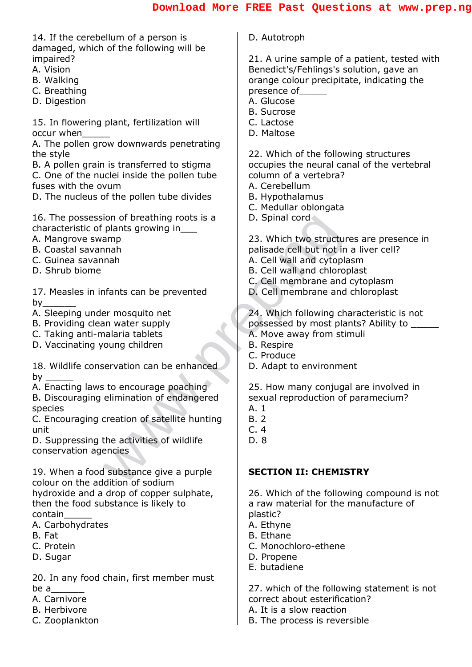Franching proof is a<br>
plants growing in<br>
amp<br>
amp<br>
amp<br>
mah<br>
mah<br>
mah<br>
mah<br>
mater supply<br>
alarats can be prevented<br>
D. Cell membrane and<br>
D. Cell membrane and<br>
D. Cell membrane and<br>
D. Cell membrane and<br>
D. Cell membrane a 14. If the cerebellum of a person is damaged, which of the following will be impaired? A. Vision B. Walking C. Breathing D. Digestion 15. In flowering plant, fertilization will occur when\_\_\_\_\_ A. The pollen grow downwards penetrating the style B. A pollen grain is transferred to stigma C. One of the nuclei inside the pollen tube fuses with the ovum D. The nucleus of the pollen tube divides 16. The possession of breathing roots is a characteristic of plants growing in\_\_\_ A. Mangrove swamp B. Coastal savannah C. Guinea savannah D. Shrub biome 17. Measles in infants can be prevented by $_$ A. Sleeping under mosquito net B. Providing clean water supply C. Taking anti-malaria tablets D. Vaccinating young children 18. Wildlife conservation can be enhanced by \_\_\_\_\_ A. Enacting laws to encourage poaching B. Discouraging elimination of endangered species C. Encouraging creation of satellite hunting unit D. Suppressing the activities of wildlife conservation agencies 19. When a food substance give a purple colour on the addition of sodium hydroxide and a drop of copper sulphate, then the food substance is likely to contain\_\_\_\_\_ A. Carbohydrates B. Fat C. Protein D. Sugar 20. In any food chain, first member must D. Autotroph 21. A urine sample of a patient, tested with Benedict's/Fehlings's solution, gave an orange colour precipitate, indicating the presence of A. Glucose B. Sucrose C. Lactose D. Maltose 22. Which of the following structures occupies the neural canal of the vertebral column of a vertebra? A. Cerebellum B. Hypothalamus C. Medullar oblongata D. Spinal cord 23. Which two structures are presence in palisade cell but not in a liver cell? A. Cell wall and cytoplasm B. Cell wall and chloroplast C. Cell membrane and cytoplasm D. Cell membrane and chloroplast 24. Which following characteristic is not possessed by most plants? Ability to \_\_\_\_\_ A. Move away from stimuli B. Respire C. Produce D. Adapt to environment 25. How many conjugal are involved in sexual reproduction of paramecium? A. 1 B. 2 C. 4 D. 8 **SECTION II: CHEMISTRY** 26. Which of the following compound is not a raw material for the manufacture of plastic? A. Ethyne B. Ethane C. Monochloro-ethene D. Propene E. butadiene

be a\_\_\_\_\_\_

A. Carnivore B. Herbivore C. Zooplankton

27. which of the following statement is not correct about esterification?

- A. It is a slow reaction
- B. The process is reversible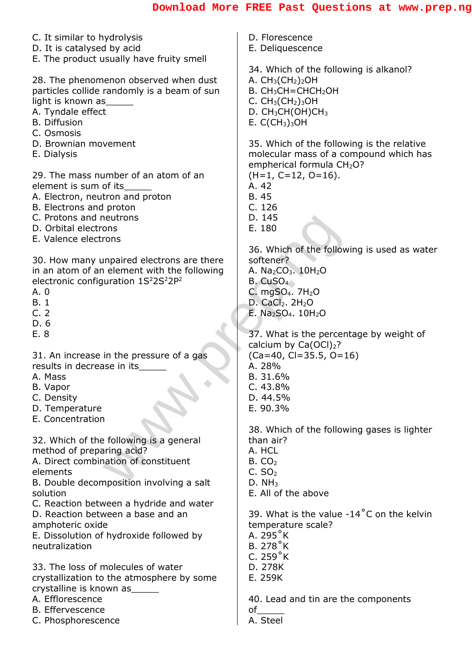| C. It similar to hydrolysis                                                                                                                                                                                     | D. Florescence                                                                                                                              |
|-----------------------------------------------------------------------------------------------------------------------------------------------------------------------------------------------------------------|---------------------------------------------------------------------------------------------------------------------------------------------|
| D. It is catalysed by acid                                                                                                                                                                                      | E. Deliquescence                                                                                                                            |
| E. The product usually have fruity smell<br>28. The phenomenon observed when dust<br>particles collide randomly is a beam of sun<br>light is known as<br>A. Tyndale effect<br><b>B.</b> Diffusion<br>C. Osmosis | 34. Which of the following is alkanol?<br>A. $CH3(CH2)2OH$<br>$B. CH3CH=CHCH2OH$<br>C. $CH3(CH2)3OH$<br>D. $CH3CH(OH)CH3$<br>E. $C(CH3)3OH$ |
| D. Brownian movement                                                                                                                                                                                            | 35. Which of the following is the relative                                                                                                  |
| E. Dialysis                                                                                                                                                                                                     | molecular mass of a compound which has                                                                                                      |
| 29. The mass number of an atom of an                                                                                                                                                                            | empherical formula CH <sub>2</sub> O?                                                                                                       |
| element is sum of its                                                                                                                                                                                           | $(H=1, C=12, O=16).$                                                                                                                        |
| A. Electron, neutron and proton                                                                                                                                                                                 | A. 42                                                                                                                                       |
| B. Electrons and proton                                                                                                                                                                                         | B. 45                                                                                                                                       |
| C. Protons and neutrons                                                                                                                                                                                         | C.126                                                                                                                                       |
| D. Orbital electrons                                                                                                                                                                                            | D. 145                                                                                                                                      |
| E. Valence electrons                                                                                                                                                                                            | E. 180                                                                                                                                      |
| 30. How many unpaired electrons are there                                                                                                                                                                       | 36. Which of the following is used as water                                                                                                 |
| in an atom of an element with the following                                                                                                                                                                     | softener?                                                                                                                                   |
| electronic configuration $1S22S22P2$                                                                                                                                                                            | A. $Na2CO3$ . 10H <sub>2</sub> O                                                                                                            |
| A. 0                                                                                                                                                                                                            | $B.$ CuSO <sub>4</sub>                                                                                                                      |
| B. 1                                                                                                                                                                                                            | C. mgSO <sub>4</sub> . 7H <sub>2</sub> O                                                                                                    |
| C.2                                                                                                                                                                                                             | D. CaCl <sub>2</sub> . $2H2O$                                                                                                               |
| D. 6                                                                                                                                                                                                            | $E. Na2SO4. 10H2O$                                                                                                                          |
| E. 8                                                                                                                                                                                                            | 37. What is the percentage by weight of                                                                                                     |
| 31. An increase in the pressure of a gas                                                                                                                                                                        | calcium by $Ca(OCl)2$ ?                                                                                                                     |
| results in decrease in its                                                                                                                                                                                      | $(Ca=40, C=35.5, O=16)$                                                                                                                     |
| A. Mass                                                                                                                                                                                                         | A. 28%                                                                                                                                      |
| B. Vapor                                                                                                                                                                                                        | B. 31.6%                                                                                                                                    |
| C. Density                                                                                                                                                                                                      | C.43.8%                                                                                                                                     |
| D. Temperature                                                                                                                                                                                                  | D. 44.5%                                                                                                                                    |
| E. Concentration                                                                                                                                                                                                | E. 90.3%                                                                                                                                    |
| 32. Which of the following is a general                                                                                                                                                                         | 38. Which of the following gases is lighter                                                                                                 |
| method of preparing acid?                                                                                                                                                                                       | than air?                                                                                                                                   |
| A. Direct combination of constituent                                                                                                                                                                            | A. HCL                                                                                                                                      |
| elements                                                                                                                                                                                                        | B. CO <sub>2</sub>                                                                                                                          |
| B. Double decomposition involving a salt                                                                                                                                                                        | C. SO <sub>2</sub>                                                                                                                          |
| solution                                                                                                                                                                                                        | D. NH <sub>3</sub>                                                                                                                          |
| C. Reaction between a hydride and water                                                                                                                                                                         | E. All of the above                                                                                                                         |
| D. Reaction between a base and an                                                                                                                                                                               | 39. What is the value $-14^{\circ}$ C on the kelvin                                                                                         |
| amphoteric oxide                                                                                                                                                                                                | temperature scale?                                                                                                                          |
| E. Dissolution of hydroxide followed by                                                                                                                                                                         | A. $295^\circ$ K                                                                                                                            |
| neutralization                                                                                                                                                                                                  | <b>B.</b> 278°K                                                                                                                             |
| 33. The loss of molecules of water                                                                                                                                                                              | C. $259^\circ$ K                                                                                                                            |
| crystallization to the atmosphere by some                                                                                                                                                                       | D. 278K                                                                                                                                     |
| crystalline is known as______                                                                                                                                                                                   | E. 259K                                                                                                                                     |
| A. Efflorescence                                                                                                                                                                                                | 40. Lead and tin are the components                                                                                                         |
| <b>B.</b> Effervescence                                                                                                                                                                                         | of                                                                                                                                          |
| C. Phosphorescence                                                                                                                                                                                              | A. Steel                                                                                                                                    |
|                                                                                                                                                                                                                 |                                                                                                                                             |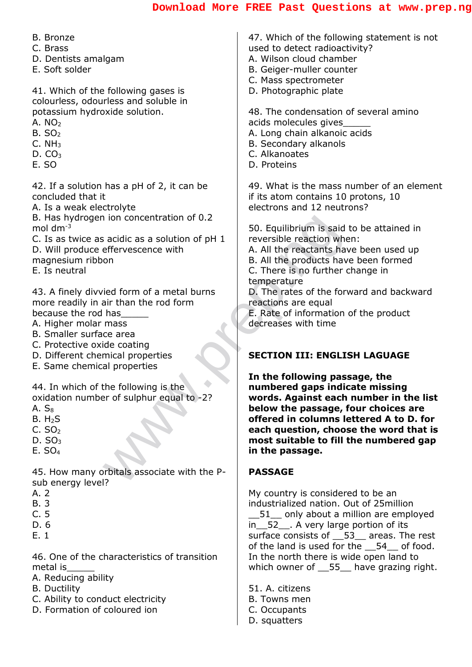#### **[Download More FREE Past Questions at www.prep.ng](www.prep.ng)**

B. Bronze

- C. Brass
- D. Dentists amalgam
- E. Soft solder

41. Which of the following gases is colourless, odourless and soluble in potassium hydroxide solution.

- A.  $NO<sub>2</sub>$
- $B. SO<sub>2</sub>$
- $C. NH<sub>3</sub>$
- $D. CO<sub>3</sub>$
- E. SO

42. If a solution has a pH of 2, it can be concluded that it

A. Is a weak electrolyte

B. Has hydrogen ion concentration of 0.2 mol  $dm^{-3}$ 

C. Is as twice as acidic as a solution of pH 1 D. Will produce effervescence with magnesium ribbon

E. Is neutral

43. A finely divvied form of a metal burns more readily in air than the rod form because the rod has\_\_\_\_\_

- A. Higher molar mass
- B. Smaller surface area
- C. Protective oxide coating
- D. Different chemical properties
- E. Same chemical properties

44. In which of the following is the oxidation number of sulphur equal to -2?

- $A. S_8$
- $B. H<sub>2</sub>S$
- $C. SO<sub>2</sub>$
- D.  $SO<sub>3</sub>$
- E. SO<sup>4</sup>

45. How many orbitals associate with the Psub energy level?

- A. 2
- B. 3
- C. 5
- D. 6
- E. 1

46. One of the characteristics of transition metal is\_\_\_\_\_

- A. Reducing ability
- B. Ductility
- C. Ability to conduct electricity
- D. Formation of coloured ion

47. Which of the following statement is not used to detect radioactivity? A. Wilson cloud chamber B. Geiger-muller counter

- C. Mass spectrometer
- D. Photographic plate

48. The condensation of several amino acids molecules gives\_\_\_\_\_

- A. Long chain alkanoic acids
- B. Secondary alkanols
- C. Alkanoates
- D. Proteins

49. What is the mass number of an element if its atom contains 10 protons, 10 electrons and 12 neutrons?

50. Equilibrium is said to be attained in reversible reaction when:

A. All the reactants have been used up

B. All the products have been formed

C. There is no further change in temperature

D. The rates of the forward and backward reactions are equal

E. Rate of information of the product decreases with time

#### **SECTION III: ENGLISH LAGUAGE**

Find Section of D.2<br>
acidic as a solution of pH 1<br>
effervescence with<br>
on<br>
eight form of a metal burns<br>
in than the rod form<br>
is said reversible reaction when<br>
B. All the reactants have<br>
C. There is no further computer is<br> **In the following passage, the numbered gaps indicate missing words. Against each number in the list below the passage, four choices are offered in columns lettered A to D. for each question, choose the word that is most suitable to fill the numbered gap in the passage.**

#### **PASSAGE**

My country is considered to be an industrialized nation. Out of 25million 51 only about a million are employed in\_\_52\_\_. A very large portion of its surface consists of 53 areas. The rest of the land is used for the 54 of food. In the north there is wide open land to which owner of \_\_55\_\_ have grazing right.

51. A. citizens B. Towns men C. Occupants D. squatters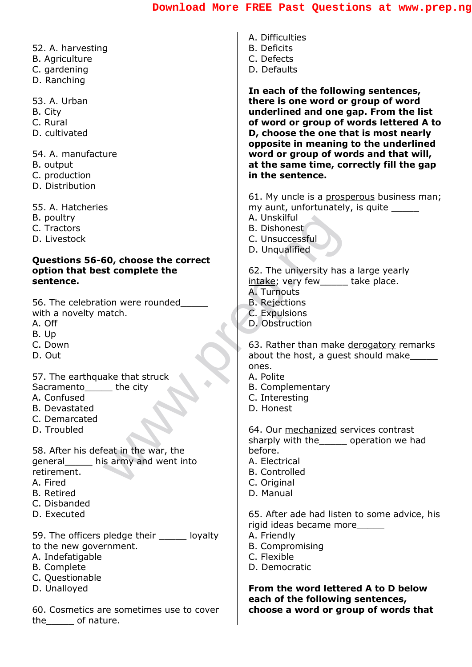- 52. A. harvesting
- B. Agriculture
- C. gardening
- D. Ranching

53. A. Urban

- B. City
- C. Rural
- D. cultivated

54. A. manufacture

- B. output
- C. production
- D. Distribution

55. A. Hatcheries

- B. poultry
- C. Tractors
- D. Livestock

# A. Unskilful<br>
B. Dishonest<br>
C. Unsuccessful<br>
D. Unqualified<br>
intake; very few<br>
intake; very few<br>
a. Turnouts<br>
A. Turnouts<br>
A. Turnouts<br>
A. Turnouts<br>
A. Turnouts<br>
A. Turnouts<br>
A. Polite<br>
B. Rejections<br>
D. Obstruction<br>
C. Ex **Questions 56-60, choose the correct option that best complete the sentence.**

56. The celebration were rounded with a novelty match.

- A. Off
- B. Up
- C. Down
- D. Out

57. The earthquake that struck

- Sacramento the city
- A. Confused
- B. Devastated
- C. Demarcated
- D. Troubled

58. After his defeat in the war, the general\_\_\_\_\_ his army and went into retirement.

- A. Fired
- B. Retired
- C. Disbanded
- D. Executed

59. The officers pledge their loyalty

- to the new government.
- A. Indefatigable
- B. Complete
- C. Questionable
- D. Unalloyed

60. Cosmetics are sometimes use to cover the\_\_\_\_\_ of nature.

- A. Difficulties
- B. Deficits
- C. Defects
- D. Defaults

**In each of the following sentences, there is one word or group of word underlined and one gap. From the list of word or group of words lettered A to D, choose the one that is most nearly opposite in meaning to the underlined word or group of words and that will, at the same time, correctly fill the gap in the sentence.**

61. My uncle is a prosperous business man; my aunt, unfortunately, is quite A. Unskilful

- B. Dishonest
- C. Unsuccessful
- 
- D. Unqualified

62. The university has a large yearly intake; very few take place.

- A. Turnouts
- B. Rejections
- C. Expulsions
- D. Obstruction

63. Rather than make derogatory remarks about the host, a quest should make ones.

- A. Polite
- B. Complementary
- C. Interesting
- D. Honest

64. Our mechanized services contrast sharply with the\_\_\_\_\_ operation we had before.

- A. Electrical
- B. Controlled
- C. Original
- D. Manual

65. After ade had listen to some advice, his rigid ideas became more\_\_\_\_\_

- A. Friendly
- B. Compromising
- C. Flexible
- D. Democratic

**From the word lettered A to D below each of the following sentences, choose a word or group of words that**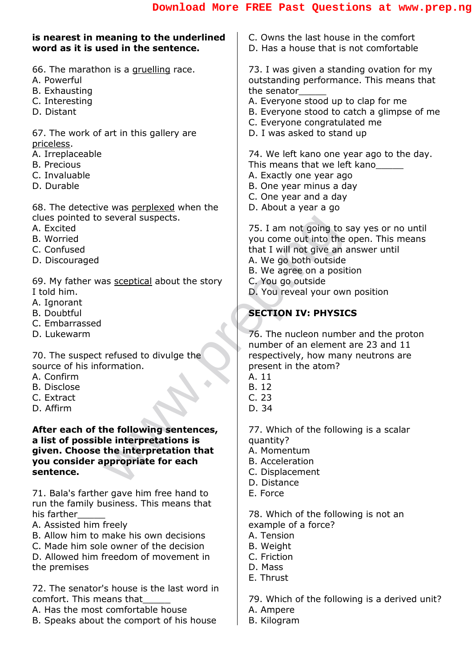#### several suspects.<br>
T5. I am not going to s<br>
you come out into the c<br>
that I will not give an a<br>
A. We go both outside<br>
B. We agree on a position<br>
D. You go outside<br>
D. You reveal your own<br>
SECTION IV: PHYSIC<br>
T6. The nucle **is nearest in meaning to the underlined word as it is used in the sentence.** 66. The marathon is a gruelling race. A. Powerful B. Exhausting C. Interesting D. Distant 67. The work of art in this gallery are priceless. A. Irreplaceable B. Precious C. Invaluable D. Durable 68. The detective was perplexed when the clues pointed to several suspects. A. Excited B. Worried C. Confused D. Discouraged 69. My father was sceptical about the story I told him. A. Ignorant B. Doubtful C. Embarrassed D. Lukewarm 70. The suspect refused to divulge the source of his information. A. Confirm B. Disclose C. Extract D. Affirm **After each of the following sentences, a list of possible interpretations is given. Choose the interpretation that you consider appropriate for each sentence.** 71. Bala's farther gave him free hand to run the family business. This means that his farther\_\_\_\_\_ A. Assisted him freely B. Allow him to make his own decisions C. Made him sole owner of the decision D. Allowed him freedom of movement in the premises 72. The senator's house is the last word in comfort. This means that\_\_\_\_\_ A. Has the most comfortable house C. Owns the last house in the comfort D. Has a house that is not comfortable 73. I was given a standing ovation for my outstanding performance. This means that the senator\_\_\_\_\_ A. Everyone stood up to clap for me B. Everyone stood to catch a glimpse of me C. Everyone congratulated me D. I was asked to stand up 74. We left kano one year ago to the day. This means that we left kano A. Exactly one year ago B. One year minus a day C. One year and a day D. About a year a go 75. I am not going to say yes or no until you come out into the open. This means that I will not give an answer until A. We go both outside B. We agree on a position C. You go outside D. You reveal your own position **SECTION IV: PHYSICS** 76. The nucleon number and the proton number of an element are 23 and 11 respectively, how many neutrons are present in the atom? A. 11 B. 12 C. 23 D. 34 77. Which of the following is a scalar quantity? A. Momentum B. Acceleration C. Displacement D. Distance E. Force 78. Which of the following is not an example of a force? A. Tension B. Weight C. Friction D. Mass E. Thrust 79. Which of the following is a derived unit? A. Ampere

B. Speaks about the comport of his house

- - B. Kilogram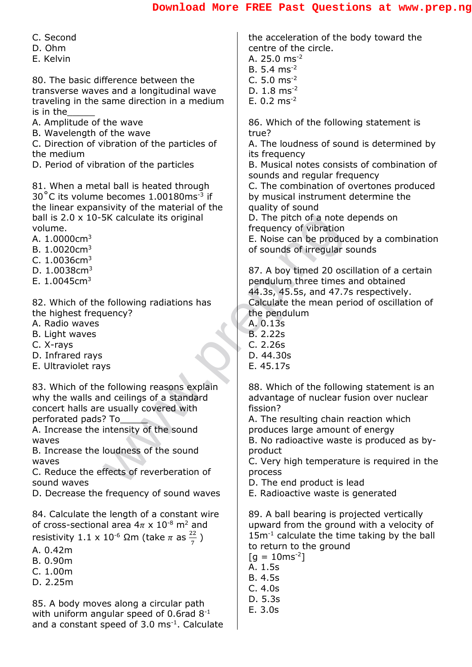C. Second

- D. Ohm
- E. Kelvin

80. The basic difference between the transverse waves and a longitudinal wave traveling in the same direction in a medium is in the\_\_\_\_\_

- A. Amplitude of the wave
- B. Wavelength of the wave

C. Direction of vibration of the particles of the medium

D. Period of vibration of the particles

81. When a metal ball is heated through 30 $^{\circ}$ C its volume becomes 1.00180ms<sup>-3</sup> if the linear expansivity of the material of the ball is 2.0 x 10-5K calculate its original volume.

- A. 1.0000cm<sup>3</sup>
- B. 1.0020cm<sup>3</sup>
- $C. 1.0036$ cm<sup>3</sup>
- D. 1.0038cm<sup>3</sup>
- E. 1.0045cm<sup>3</sup>

82. Which of the following radiations has the highest frequency?

- A. Radio waves
- B. Light waves
- C. X-rays
- D. Infrared rays
- E. Ultraviolet rays

83. Which of the following reasons explain why the walls and ceilings of a standard concert halls are usually covered with perforated pads? To\_\_\_\_\_

A. Increase the intensity of the sound waves

B. Increase the loudness of the sound waves

C. Reduce the effects of reverberation of sound waves

D. Decrease the frequency of sound waves

84. Calculate the length of a constant wire of cross-sectional area  $4\pi \times 10^{-8}$  m<sup>2</sup> and resistivity 1.1 x 10<sup>-6</sup> Ωm (take  $\pi$  as  $\frac{22}{7}$  $\frac{22}{7}$  )

- A. 0.42m
- B. 0.90m
- C. 1.00m
- D. 2.25m

85. A body moves along a circular path with uniform angular speed of 0.6rad 8<sup>-1</sup> and a constant speed of 3.0 ms<sup>-1</sup>. Calculate the acceleration of the body toward the centre of the circle.

- A. 25.0 ms-2
- B.  $5.4 \text{ ms}^{-2}$
- C. 5.0 ms-2
- D. 1.8 ms-2
- E.  $0.2 \text{ ms}^{-2}$

86. Which of the following statement is true?

A. The loudness of sound is determined by its frequency

B. Musical notes consists of combination of sounds and regular frequency

C. The combination of overtones produced by musical instrument determine the quality of sound

D. The pitch of a note depends on frequency of vibration

E. Noise can be produced by a combination of sounds of irregular sounds

SK calculate its original<br>
E. Noise can be produce<br>
E. Noise can be produce<br>
of sounds of irregular s<br>
endulum three times<br>
endulum three times<br>
(allowing radiations has<br>
e. A dot image of scale and a<br>
e. O.135<br>
B. 2.225<br> 87. A boy timed 20 oscillation of a certain pendulum three times and obtained 44.3s, 45.5s, and 47.7s respectively. Calculate the mean period of oscillation of the pendulum

- A. 0.13s
- B. 2.22s
- C. 2.26s
- D. 44.30s
- E. 45.17s

88. Which of the following statement is an advantage of nuclear fusion over nuclear fission?

A. The resulting chain reaction which produces large amount of energy

B. No radioactive waste is produced as byproduct

C. Very high temperature is required in the process

D. The end product is lead

E. Radioactive waste is generated

89. A ball bearing is projected vertically upward from the ground with a velocity of 15m<sup>-1</sup> calculate the time taking by the ball to return to the ground

- $[g = 10 \text{ms}^{-2}]$
- A. 1.5s
- B. 4.5s
- C. 4.0s
- D. 5.3s
- E. 3.0s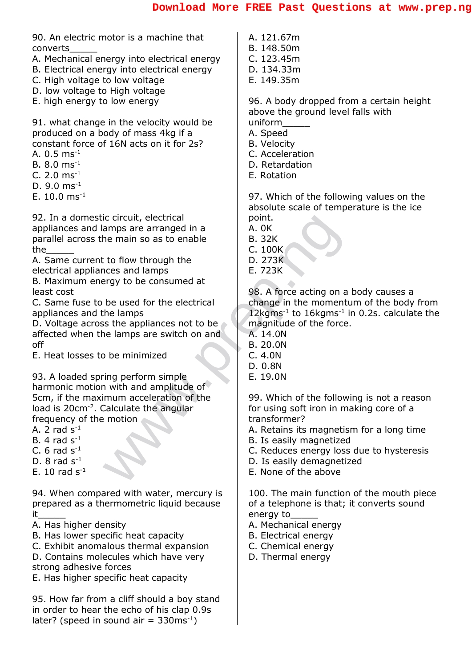90. An electric motor is a machine that converts\_\_\_\_\_

- A. Mechanical energy into electrical energy
- B. Electrical energy into electrical energy
- C. High voltage to low voltage
- D. low voltage to High voltage
- E. high energy to low energy

91. what change in the velocity would be produced on a body of mass 4kg if a constant force of 16N acts on it for 2s?

- A.  $0.5 \text{ ms}^{-1}$
- B.  $8.0 \text{ ms}^{-1}$
- C. 2.0  $ms^{-1}$
- D.  $9.0 \text{ ms}^{-1}$
- F.  $10.0$  ms<sup>-1</sup>

92. In a domestic circuit, electrical appliances and lamps are arranged in a parallel across the main so as to enable the\_\_\_\_\_

A. Same current to flow through the electrical appliances and lamps

B. Maximum energy to be consumed at least cost

C. Same fuse to be used for the electrical appliances and the lamps

D. Voltage across the appliances not to be affected when the lamps are switch on and off

E. Heat losses to be minimized

Controlling and a main so as to enable<br>
to flow through the<br>
Let the main so as to enable<br>
B. 32K<br>
C. 100K<br>
C. 100K<br>
C. 100K<br>
D. 273K<br>
C. 100K<br>
D. 273K<br>
C. 100K<br>
E. 723K<br>
C. 100K<br>
E. 723K<br>
C. 100K<br>
D. 273K<br>
E. 723K<br>
E. 723 93. A loaded spring perform simple harmonic motion with and amplitude of 5cm, if the maximum acceleration of the load is 20cm<sup>-2</sup>. Calculate the angular frequency of the motion

- A. 2 rad  $S<sup>-1</sup>$
- B. 4 rad  $s^{-1}$
- C. 6 rad  $s^{-1}$
- D.  $8$  rad  $s^{-1}$
- E. 10 rad  $s^{-1}$

94. When compared with water, mercury is prepared as a thermometric liquid because  $it$ 

- A. Has higher density
- B. Has lower specific heat capacity
- C. Exhibit anomalous thermal expansion
- D. Contains molecules which have very
- strong adhesive forces
- E. Has higher specific heat capacity

95. How far from a cliff should a boy stand in order to hear the echo of his clap 0.9s later? (speed in sound air =  $330 \text{ms}^{-1}$ )

- A. 121.67m B. 148.50m
- C. 123.45m
- D. 134.33m
- E. 149.35m

96. A body dropped from a certain height above the ground level falls with uniform\_\_\_\_\_

- A. Speed
- B. Velocity
- C. Acceleration
- D. Retardation
- E. Rotation

97. Which of the following values on the absolute scale of temperature is the ice point.

- A. 0K
- B. 32K
- C. 100K
- D. 273K
- E. 723K

98. A force acting on a body causes a change in the momentum of the body from  $12 \text{kgms}^{-1}$  to  $16 \text{kgms}^{-1}$  in 0.2s. calculate the magnitude of the force.

- A. 14.0N
- B. 20.0N
- C. 4.0N
- D. 0.8N
- E. 19.0N

99. Which of the following is not a reason for using soft iron in making core of a transformer?

- A. Retains its magnetism for a long time
- B. Is easily magnetized
- C. Reduces energy loss due to hysteresis
- D. Is easily demagnetized
- E. None of the above

100. The main function of the mouth piece of a telephone is that; it converts sound energy to\_\_\_\_\_

- A. Mechanical energy
- B. Electrical energy
- C. Chemical energy
- D. Thermal energy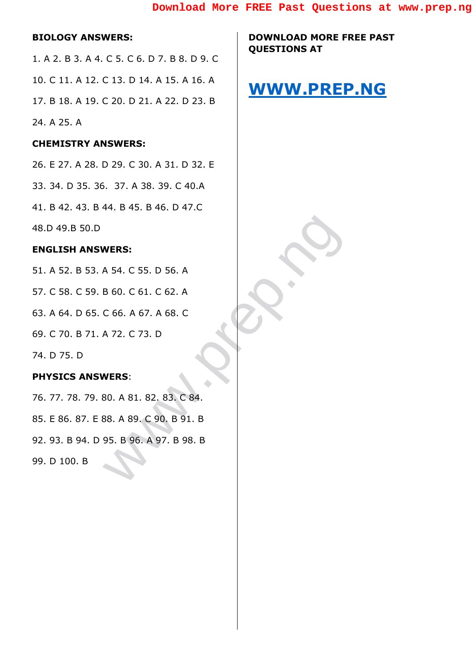#### **BIOLOGY ANSWERS:**

1. A 2. B 3. A 4. C 5. C 6. D 7. B 8. D 9. C 10. C 11. A 12. C 13. D 14. A 15. A 16. A 17. B 18. A 19. C 20. D 21. A 22. D 23. B 24. A 25. A

#### **CHEMISTRY ANSWERS:**

26. E 27. A 28. D 29. C 30. A 31. D 32. E 33. 34. D 35. 36. 37. A 38. 39. C 40.A 41. B 42. 43. B 44. B 45. B 46. D 47.C 48.D 49.B 50.D

#### **ENGLISH ANSWERS:**

WERS:<br>A 54. C 55. D 56. A<br>B 60. C 61. C 62. A<br>C 66. A 67. A 68. C<br>A 72. C 73. D<br>WERS:<br>S0. A 81. 82. 83. C 84.<br>S8. A 89. C 90. B 91. B<br>95. B 96. A 97. B 98. B 51. A 52. B 53. A 54. C 55. D 56. A 57. C 58. C 59. B 60. C 61. C 62. A 63. A 64. D 65. C 66. A 67. A 68. C 69. C 70. B 71. A 72. C 73. D 74. D 75. D **PHYSICS ANSWERS**: 76. 77. 78. 79. 80. A 81. 82. 83. C 84. 85. E 86. 87. E 88. A 89. C 90. B 91. B 92. 93. B 94. D 95. B 96. A 97. B 98. B

99. D 100. B

**DOWNLOAD MORE FREE PAST QUESTIONS AT** 

## **[WWW.PREP.NG](http://www.prep.ng/)**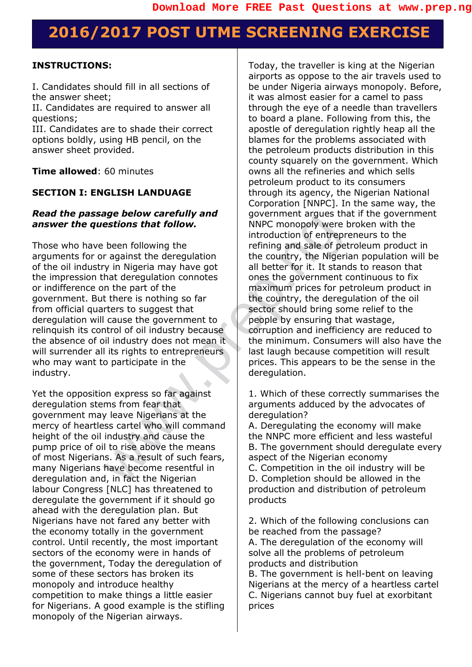## **2016/2017 POST UTME SCREENING EXERCISE**

#### **INSTRUCTIONS:**

I. Candidates should fill in all sections of the answer sheet;

II. Candidates are required to answer all questions;

III. Candidates are to shade their correct options boldly, using HB pencil, on the answer sheet provided.

**Time allowed**: 60 minutes

#### **SECTION I: ENGLISH LANDUAGE**

#### *Read the passage below carefully and answer the questions that follow.*

**Extract the detail of the control of the control of the control of entropies and the detergent the detergent of the control of entropies and the control of entropies and the control of entropies and the control of entropi** Those who have been following the arguments for or against the deregulation of the oil industry in Nigeria may have got the impression that deregulation connotes or indifference on the part of the government. But there is nothing so far from official quarters to suggest that deregulation will cause the government to relinquish its control of oil industry because the absence of oil industry does not mean it will surrender all its rights to entrepreneurs who may want to participate in the industry.

Yet the opposition express so far against deregulation stems from fear that government may leave Nigerians at the mercy of heartless cartel who will command height of the oil industry and cause the pump price of oil to rise above the means of most Nigerians. As a result of such fears, many Nigerians have become resentful in deregulation and, in fact the Nigerian labour Congress [NLC] has threatened to deregulate the government if it should go ahead with the deregulation plan. But Nigerians have not fared any better with the economy totally in the government control. Until recently, the most important sectors of the economy were in hands of the government, Today the deregulation of some of these sectors has broken its monopoly and introduce healthy competition to make things a little easier for Nigerians. A good example is the stifling monopoly of the Nigerian airways.

Today, the traveller is king at the Nigerian airports as oppose to the air travels used to be under Nigeria airways monopoly. Before, it was almost easier for a camel to pass through the eye of a needle than travellers to board a plane. Following from this, the apostle of deregulation rightly heap all the blames for the problems associated with the petroleum products distribution in this county squarely on the government. Which owns all the refineries and which sells petroleum product to its consumers through its agency, the Nigerian National Corporation [NNPC]. In the same way, the government argues that if the government NNPC monopoly were broken with the introduction of entrepreneurs to the refining and sale of petroleum product in the country, the Nigerian population will be all better for it. It stands to reason that ones the government continuous to fix maximum prices for petroleum product in the country, the deregulation of the oil sector should bring some relief to the people by ensuring that wastage, corruption and inefficiency are reduced to the minimum. Consumers will also have the last laugh because competition will result prices. This appears to be the sense in the deregulation.

1. Which of these correctly summarises the arguments adduced by the advocates of deregulation?

A. Deregulating the economy will make the NNPC more efficient and less wasteful B. The government should deregulate every aspect of the Nigerian economy

C. Competition in the oil industry will be D. Completion should be allowed in the production and distribution of petroleum products

2. Which of the following conclusions can be reached from the passage? A. The deregulation of the economy will solve all the problems of petroleum products and distribution

B. The government is hell-bent on leaving Nigerians at the mercy of a heartless cartel C. Nigerians cannot buy fuel at exorbitant prices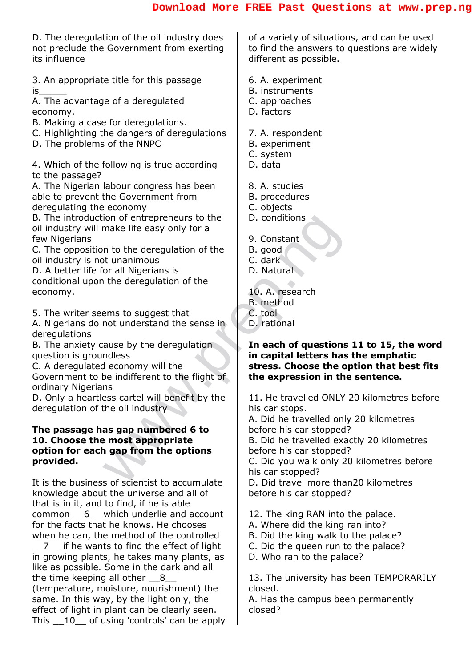D. The deregulation of the oil industry does not preclude the Government from exerting its influence

3. An appropriate title for this passage  $is$ 

A. The advantage of a deregulated economy.

- B. Making a case for deregulations.
- C. Highlighting the dangers of deregulations
- D. The problems of the NNPC

4. Which of the following is true according to the passage?

A. The Nigerian labour congress has been able to prevent the Government from deregulating the economy

B. The introduction of entrepreneurs to the oil industry will make life easy only for a few Nigerians

C. The opposition to the deregulation of the oil industry is not unanimous

D. A better life for all Nigerians is conditional upon the deregulation of the economy.

5. The writer seems to suggest that

A. Nigerians do not understand the sense in deregulations

B. The anxiety cause by the deregulation question is groundless

C. A deregulated economy will the

Government to be indifferent to the flight of ordinary Nigerians

D. Only a heartless cartel will benefit by the deregulation of the oil industry

## ion of entrepreneurs to the<br>
make life easy only for a<br>
or all Nigerians is<br>
or all Nigerians is<br>
the deregulation of the<br>
not understand the sense in<br>
B. method<br>
B. method<br>
B. method<br>
B. method<br>
B. method<br>
B. method<br>
D. A **The passage has gap numbered 6 to 10. Choose the most appropriate option for each gap from the options provided.**

It is the business of scientist to accumulate knowledge about the universe and all of that is in it, and to find, if he is able common  $\, 6$  which underlie and account for the facts that he knows. He chooses when he can, the method of the controlled \_\_7\_\_ if he wants to find the effect of light in growing plants, he takes many plants, as like as possible. Some in the dark and all the time keeping all other 8 (temperature, moisture, nourishment) the

same. In this way, by the light only, the effect of light in plant can be clearly seen. This \_\_10\_\_ of using 'controls' can be apply of a variety of situations, and can be used to find the answers to questions are widely different as possible.

- 6. A. experiment
- B. instruments
- C. approaches
- D. factors
- 7. A. respondent
- B. experiment
- C. system
- D. data
- 8. A. studies
- B. procedures
- C. objects
- D. conditions
- 9. Constant
- B. good
- C. dark
- D. Natural

10. A. research

- B. method
- C. tool
- D. rational

#### **In each of questions 11 to 15, the word in capital letters has the emphatic stress. Choose the option that best fits the expression in the sentence.**

11. He travelled ONLY 20 kilometres before his car stops.

A. Did he travelled only 20 kilometres before his car stopped?

B. Did he travelled exactly 20 kilometres before his car stopped?

C. Did you walk only 20 kilometres before his car stopped?

D. Did travel more than20 kilometres before his car stopped?

12. The king RAN into the palace.

- A. Where did the king ran into?
- B. Did the king walk to the palace?
- C. Did the queen run to the palace?
- D. Who ran to the palace?

13. The university has been TEMPORARILY closed.

A. Has the campus been permanently closed?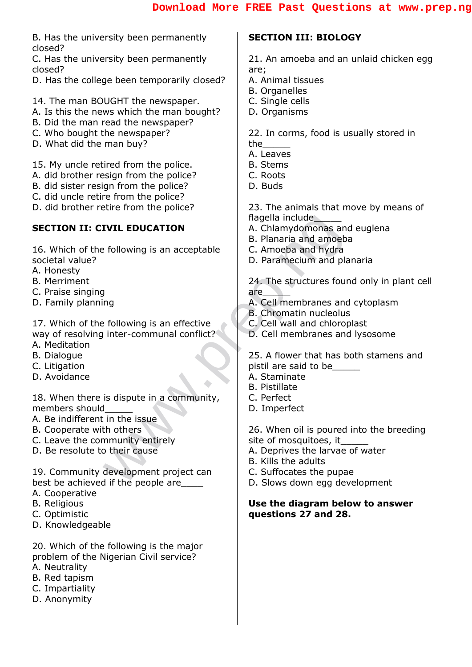B. Has the university been permanently closed?

C. Has the university been permanently closed?

- D. Has the college been temporarily closed?
- 14. The man BOUGHT the newspaper.
- A. Is this the news which the man bought?
- B. Did the man read the newspaper?
- C. Who bought the newspaper?
- D. What did the man buy?

15. My uncle retired from the police.

- A. did brother resign from the police?
- B. did sister resign from the police?
- C. did uncle retire from the police?
- D. did brother retire from the police?

#### **SECTION II: CIVIL EDUCATION**

16. Which of the following is an acceptable societal value?

- A. Honesty
- B. Merriment
- C. Praise singing
- D. Family planning

Following is an acceptable<br>
B. Planaria and amoeba<br>
B. Planaria and amoeba<br>
D. Paramecium and plane<br>
24. The structures found<br>
are<br>
A. Cell membranes and<br>
B. Chromatin nucleolus<br>
inter-communal conflict?<br>
Inter-communal co 17. Which of the following is an effective way of resolving inter-communal conflict?

- A. Meditation
- B. Dialogue
- C. Litigation
- D. Avoidance

18. When there is dispute in a community, members should\_\_\_\_\_

- A. Be indifferent in the issue
- B. Cooperate with others
- C. Leave the community entirely
- D. Be resolute to their cause

19. Community development project can best be achieved if the people are

- A. Cooperative
- B. Religious
- C. Optimistic
- D. Knowledgeable

20. Which of the following is the major problem of the Nigerian Civil service?

- A. Neutrality
- B. Red tapism
- C. Impartiality
- D. Anonymity

#### **SECTION III: BIOLOGY**

21. An amoeba and an unlaid chicken egg are;

- A. Animal tissues
- B. Organelles
- C. Single cells
- D. Organisms

22. In corms, food is usually stored in the\_\_\_\_\_

- A. Leaves
- B. Stems
- C. Roots
- D. Buds

23. The animals that move by means of flagella include

- A. Chlamydomonas and euglena
- B. Planaria and amoeba
- C. Amoeba and hydra
- D. Paramecium and planaria

24. The structures found only in plant cell are\_\_\_\_\_

- A. Cell membranes and cytoplasm
- B. Chromatin nucleolus
- C. Cell wall and chloroplast
- D. Cell membranes and lysosome

25. A flower that has both stamens and pistil are said to be\_\_\_\_\_

- A. Staminate
- B. Pistillate
- C. Perfect
- D. Imperfect

26. When oil is poured into the breeding site of mosquitoes, it

- A. Deprives the larvae of water
- B. Kills the adults
- C. Suffocates the pupae
- D. Slows down egg development

#### **Use the diagram below to answer questions 27 and 28.**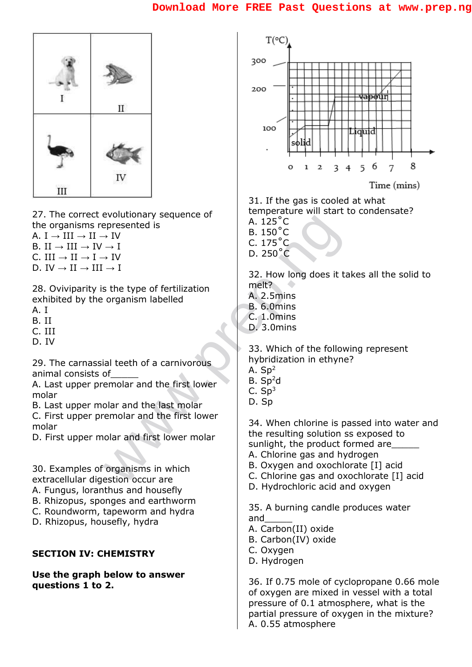

27. The correct evolutionary sequence of the organisms represented is

A. I  $\rightarrow$  III  $\rightarrow$  II  $\rightarrow$  IV

B. II  $\rightarrow$  III  $\rightarrow$  IV  $\rightarrow$  I

C. III  $\rightarrow$  II  $\rightarrow$  I  $\rightarrow$  IV D. IV  $\rightarrow$  II  $\rightarrow$  III  $\rightarrow$  I

28. Oviviparity is the type of fertilization exhibited by the organism labelled

- A. I
- B. II
- C. III
- D. IV

29. The carnassial teeth of a carnivorous animal consists of\_\_\_\_\_

A. Last upper premolar and the first lower molar

B. Last upper molar and the last molar

C. First upper premolar and the first lower molar

D. First upper molar and first lower molar

30. Examples of organisms in which extracellular digestion occur are

- A. Fungus, loranthus and housefly
- B. Rhizopus, sponges and earthworm
- C. Roundworm, tapeworm and hydra
- D. Rhizopus, housefly, hydra

#### **SECTION IV: CHEMISTRY**

**Use the graph below to answer questions 1 to 2.**



31. If the gas is cooled at what temperature will start to condensate?

- A. 125˚C
- B. 150˚C  $C. 175$ °C.
- D. 250˚C
- 

32. How long does it takes all the solid to melt?

- A. 2.5mins
- B. 6.0mins
- C. 1.0mins
- D. 3.0mins

33. Which of the following represent hybridization in ethyne?

- A.  $Sp<sup>2</sup>$
- $B. Sp<sup>2</sup>d$
- $C.$  Sp<sup>3</sup>
- D. Sp

experience is<br>
expresented is<br>  $\rightarrow$  IV<br>  $\rightarrow$  IV<br>  $\rightarrow$  IV<br>  $\rightarrow$  IV<br>  $\rightarrow$  IV<br>  $\rightarrow$  IV<br>  $\rightarrow$  IV<br>  $\rightarrow$  IV<br>  $\rightarrow$  IV<br>  $\rightarrow$  IV<br>  $\rightarrow$  IV<br>  $\rightarrow$  IV<br>  $\rightarrow$  IV<br>  $\rightarrow$  IV<br>  $\rightarrow$  IV<br>  $\rightarrow$  IV<br>  $\rightarrow$  IV<br>  $\rightarrow$  IV<br>  $\rightarrow$  IV<br>  $\rightarrow$  IV<br>  $\rightarrow$  IV<br> 34. When chlorine is passed into water and the resulting solution ss exposed to sunlight, the product formed are

- A. Chlorine gas and hydrogen
- B. Oxygen and oxochlorate [I] acid
- C. Chlorine gas and oxochlorate [I] acid
- D. Hydrochloric acid and oxygen

35. A burning candle produces water and\_\_\_\_\_

- A. Carbon(II) oxide
- B. Carbon(IV) oxide
- C. Oxygen
- D. Hydrogen

36. If 0.75 mole of cyclopropane 0.66 mole of oxygen are mixed in vessel with a total pressure of 0.1 atmosphere, what is the partial pressure of oxygen in the mixture? A. 0.55 atmosphere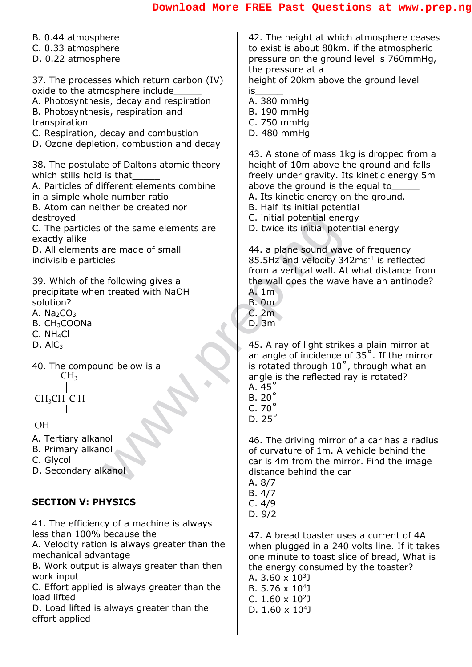B. 0.44 atmosphere 42. The height at which atmosphere ceases to exist is about 80km. if the atmospheric C. 0.33 atmosphere D. 0.22 atmosphere pressure on the ground level is 760mmHg, the pressure at a 37. The processes which return carbon (IV) height of 20km above the ground level oxide to the atmosphere include is\_\_\_\_\_ A. Photosynthesis, decay and respiration A. 380 mmHg B. Photosynthesis, respiration and B. 190 mmHg transpiration C. 750 mmHg C. Respiration, decay and combustion D. 480 mmHg D. Ozone depletion, combustion and decay 43. A stone of mass 1kg is dropped from a 38. The postulate of Daltons atomic theory height of 10m above the ground and falls which stills hold is that freely under gravity. Its kinetic energy 5m A. Particles of different elements combine above the ground is the equal to in a simple whole number ratio A. Its kinetic energy on the ground. B. Atom can neither be created nor B. Half its initial potential C. initial potential energy destroyed C. initial potential energy<br>
are made of small<br>
les<br>
treated with NaOH<br>
treated with NaOH<br>
the wave attended with NaOH<br>
B. Om<br>
C. 2m<br>
D. 3m<br>
C. 2m<br>
D. 3m<br>
45. A ray of light strike<br>
an angle of incidence of<br>
is rotated th C. The particles of the same elements are D. twice its initial potential energy exactly alike D. All elements are made of small 44. a plane sound wave of frequency indivisible particles 85.5Hz and velocity 342ms<sup>-1</sup> is reflected from a vertical wall. At what distance from the wall does the wave have an antinode? 39. Which of the following gives a precipitate when treated with NaOH A. 1m solution? B. 0m C. 2m A. Na<sub>2</sub> $CO<sub>3</sub>$ B. CH3COONa D. 3m C. NH4Cl  $D.$  Al $C_3$ 45. A ray of light strikes a plain mirror at an angle of incidence of 35˚. If the mirror is rotated through 10˚, through what an 40. The compound below is a  $CH<sub>3</sub>$ angle is the reflected ray is rotated?  $A.45^\circ$ B. 20˚ CH3CH C H C. 70˚  $\mathbf{I}$ D. 25˚ OH A. Tertiary alkanol 46. The driving mirror of a car has a radius B. Primary alkanol of curvature of 1m. A vehicle behind the C. Glycol car is 4m from the mirror. Find the image D. Secondary alkanol distance behind the car A. 8/7 B. 4/7 **SECTION V: PHYSICS** C. 4/9 D. 9/2 41. The efficiency of a machine is always less than 100% because the 47. A bread toaster uses a current of 4A A. Velocity ration is always greater than the when plugged in a 240 volts line. If it takes mechanical advantage one minute to toast slice of bread, What is B. Work output is always greater than then the energy consumed by the toaster? work input A. 3.60  $\times$  10 $^3$ J C. Effort applied is always greater than the B.  $5.76 \times 10^{4}$ load lifted C.  $1.60 \times 10^2$ J

D. Load lifted is always greater than the effort applied

D.  $1.60 \times 10^4$ J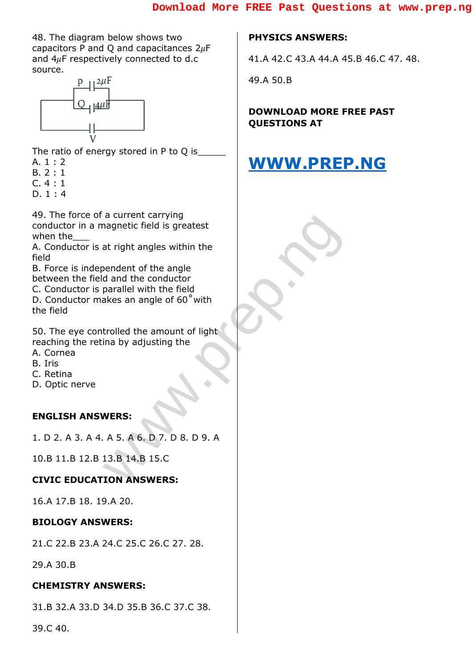48. The diagram below shows two capacitors P and Q and capacitances  $2\mu$ F and  $4\mu$ F respectively connected to d.c source.



The ratio of energy stored in P to Q is  $A. 1 : 2$ 

- B. 2 : 1
- C. 4 : 1
- D. 1 : 4

agnetic field is greatest<br>at right angles within the<br>bendent of the angle<br>d and the conductor<br>parallel with the field<br>akes an angle of 60° with<br>trolled the amount of light<br>ina by adjusting the<br>MERS:<br>A 5. A 6. D 7. D 8. D 9 49. The force of a current carrying conductor in a magnetic field is greatest when the

A. Conductor is at right angles within the field

B. Force is independent of the angle between the field and the conductor

C. Conductor is parallel with the field D. Conductor makes an angle of 60˚with

the field

50. The eye controlled the amount of light reaching the retina by adjusting the

- A. Cornea
- B. Iris
- C. Retina
- D. Optic nerve

#### **ENGLISH ANSWERS:**

1. D 2. A 3. A 4. A 5. A 6. D 7. D 8. D 9. A

10.B 11.B 12.B 13.B 14.B 15.C

#### **CIVIC EDUCATION ANSWERS:**

16.A 17.B 18. 19.A 20.

#### **BIOLOGY ANSWERS:**

21.C 22.B 23.A 24.C 25.C 26.C 27. 28.

29.A 30.B

#### **CHEMISTRY ANSWERS:**

31.B 32.A 33.D 34.D 35.B 36.C 37.C 38.

39.C 40.

#### **PHYSICS ANSWERS:**

41.A 42.C 43.A 44.A 45.B 46.C 47. 48.

49.A 50.B

**DOWNLOAD MORE FREE PAST QUESTIONS AT** 

## **[WWW.PREP.NG](http://www.prep.ng/)**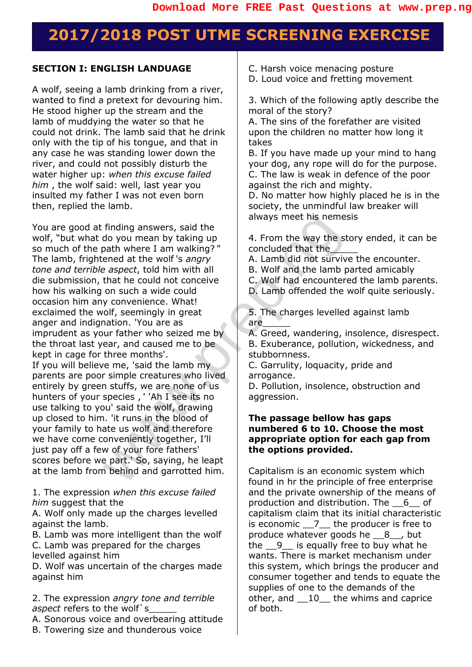## **2017/2018 POST UTME SCREENING EXERCISE**

#### **SECTION I: ENGLISH LANDUAGE**

A wolf, seeing a lamb drinking from a river, wanted to find a pretext for devouring him. He stood higher up the stream and the lamb of muddying the water so that he could not drink. The lamb said that he drink only with the tip of his tongue, and that in any case he was standing lower down the river, and could not possibly disturb the water higher up: *when this excuse failed him* , the wolf said: well, last year you insulted my father I was not even born then, replied the lamb.

Finding answers, said the<br>
do you mean by taking up<br>
always meet his nemes<br>
about the wolf's angry<br>
exepct, told him with all<br>
that he could not conceive<br>
that the could not conceive<br>
on such a wide could<br>
on such a wide c You are good at finding answers, said the wolf, "but what do you mean by taking up so much of the path where I am walking? " The lamb, frightened at the wolf 's *angry tone and terrible aspect*, told him with all die submission, that he could not conceive how his walking on such a wide could occasion him any convenience. What! exclaimed the wolf, seemingly in great anger and indignation. 'You are as imprudent as your father who seized me by the throat last year, and caused me to be kept in cage for three months'. If you will believe me, 'said the lamb my parents are poor simple creatures who lived entirely by green stuffs, we are none of us hunters of your species , ' 'Ah I see its no

use talking to you' said the wolf, drawing up closed to him. 'it runs in the blood of your family to hate us wolf and therefore we have come conveniently together, I'll just pay off a few of your fore fathers' scores before we part.' So, saying, he leapt at the lamb from behind and garrotted him.

1. The expression *when this excuse failed him* suggest that the

A. Wolf only made up the charges levelled against the lamb.

B. Lamb was more intelligent than the wolf C. Lamb was prepared for the charges levelled against him

D. Wolf was uncertain of the charges made against him

2. The expression *angry tone and terrible aspect* refers to the wolf s

A. Sonorous voice and overbearing attitude B. Towering size and thunderous voice

C. Harsh voice menacing posture

D. Loud voice and fretting movement

3. Which of the following aptly describe the moral of the story?

A. The sins of the forefather are visited upon the children no matter how long it takes

B. If you have made up your mind to hang your dog, any rope will do for the purpose. C. The law is weak in defence of the poor against the rich and mighty.

D. No matter how highly placed he is in the society, the unmindful law breaker will always meet his nemesis

4. From the way the story ended, it can be concluded that the\_\_\_\_\_

A. Lamb did not survive the encounter.

B. Wolf and the lamb parted amicably

C. Wolf had encountered the lamb parents.

D. Lamb offended the wolf quite seriously.

5. The charges levelled against lamb are\_\_\_\_\_

A. Greed, wandering, insolence, disrespect.

B. Exuberance, pollution, wickedness, and stubbornness.

C. Garrulity, loquacity, pride and arrogance.

D. Pollution, insolence, obstruction and aggression.

#### **The passage bellow has gaps numbered 6 to 10. Choose the most appropriate option for each gap from the options provided.**

Capitalism is an economic system which found in hr the principle of free enterprise and the private ownership of the means of production and distribution. The \_\_6\_\_ of capitalism claim that its initial characteristic is economic  $\overline{7}$  the producer is free to produce whatever goods he  $\,$  8  $\,$  , but the  $\frac{9}{10}$  is equally free to buy what he wants. There is market mechanism under this system, which brings the producer and consumer together and tends to equate the supplies of one to the demands of the other, and \_\_10\_\_ the whims and caprice of both.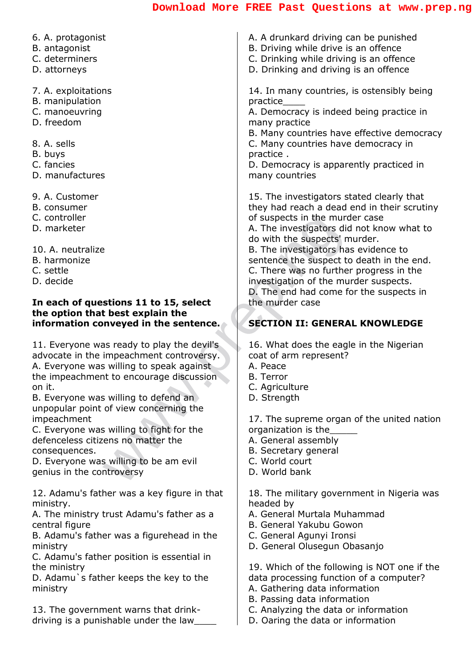| 6. A. protagonist                                                  |                                                                                  |
|--------------------------------------------------------------------|----------------------------------------------------------------------------------|
|                                                                    | A. A drunkard driving can be punished                                            |
| B. antagonist                                                      | B. Driving while drive is an offence                                             |
| C. determiners                                                     | C. Drinking while driving is an offence                                          |
| D. attorneys                                                       | D. Drinking and driving is an offence                                            |
|                                                                    |                                                                                  |
| 7. A. exploitations                                                | 14. In many countries, is ostensibly being                                       |
| B. manipulation                                                    | practice                                                                         |
| C. manoeuvring                                                     | A. Democracy is indeed being practice in                                         |
| D. freedom                                                         | many practice                                                                    |
|                                                                    | B. Many countries have effective democracy                                       |
| 8. A. sells                                                        | C. Many countries have democracy in                                              |
| B. buys                                                            | practice.                                                                        |
| C. fancies                                                         | D. Democracy is apparently practiced in                                          |
| D. manufactures                                                    | many countries                                                                   |
|                                                                    |                                                                                  |
| 9. A. Customer                                                     | 15. The investigators stated clearly that                                        |
| B. consumer                                                        | they had reach a dead end in their scrutiny                                      |
| C. controller                                                      | of suspects in the murder case                                                   |
| D. marketer                                                        | A. The investigators did not know what to                                        |
|                                                                    | do with the suspects' murder.                                                    |
| 10. A. neutralize                                                  | B. The investigators has evidence to                                             |
| B. harmonize                                                       | sentence the suspect to death in the end.                                        |
| C. settle<br>D. decide                                             | C. There was no further progress in the                                          |
|                                                                    | investigation of the murder suspects.<br>D. The end had come for the suspects in |
| In each of questions 11 to 15, select                              | the murder case                                                                  |
| the option that best explain the                                   |                                                                                  |
| information conveyed in the sentence.                              | <b>SECTION II: GENERAL KNOWLEDGE</b>                                             |
|                                                                    |                                                                                  |
|                                                                    |                                                                                  |
| 11. Everyone was ready to play the devil's                         | 16. What does the eagle in the Nigerian                                          |
| advocate in the impeachment controversy.                           | coat of arm represent?                                                           |
| A. Everyone was willing to speak against                           | A. Peace                                                                         |
| the impeachment to encourage discussion                            | <b>B.</b> Terror                                                                 |
| on it.                                                             | C. Agriculture                                                                   |
| B. Everyone was willing to defend an                               | D. Strength                                                                      |
| unpopular point of view concerning the                             |                                                                                  |
| impeachment                                                        | 17. The supreme organ of the united nation                                       |
| C. Everyone was willing to fight for the                           | organization is the                                                              |
| defenceless citizens no matter the                                 | A. General assembly                                                              |
| consequences.                                                      | B. Secretary general<br>C. World court                                           |
| D. Everyone was willing to be am evil<br>genius in the controversy | D. World bank                                                                    |
|                                                                    |                                                                                  |
| 12. Adamu's father was a key figure in that                        | 18. The military government in Nigeria was                                       |
| ministry.                                                          | headed by                                                                        |
| A. The ministry trust Adamu's father as a                          | A. General Murtala Muhammad                                                      |
| central figure                                                     | B. General Yakubu Gowon                                                          |
| B. Adamu's father was a figurehead in the                          | C. General Agunyi Ironsi                                                         |
| ministry                                                           | D. General Olusegun Obasanjo                                                     |
| C. Adamu's father position is essential in                         |                                                                                  |
| the ministry                                                       | 19. Which of the following is NOT one if the                                     |
| D. Adamu's father keeps the key to the                             | data processing function of a computer?                                          |
| ministry                                                           | A. Gathering data information                                                    |
| 13. The government warns that drink-                               | B. Passing data information<br>C. Analyzing the data or information              |

driving is a punishable under the law\_\_\_\_\_

L. Analyzing the data or information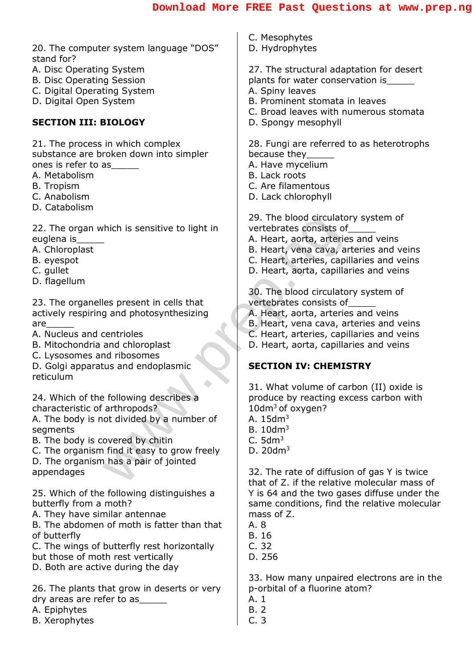| 20. The computer system language "DOS"                                                                                                                                                                                                                                    | C. Mesophytes                                                                                                                                                                                     |
|---------------------------------------------------------------------------------------------------------------------------------------------------------------------------------------------------------------------------------------------------------------------------|---------------------------------------------------------------------------------------------------------------------------------------------------------------------------------------------------|
| stand for?                                                                                                                                                                                                                                                                | D. Hydrophytes                                                                                                                                                                                    |
| A. Disc Operating System<br><b>B. Disc Operating Session</b><br>C. Digital Operating System<br>D. Digital Open System<br><b>SECTION III: BIOLOGY</b>                                                                                                                      | 27. The structural adaptation for desert<br>plants for water conservation is<br>A. Spiny leaves<br>B. Prominent stomata in leaves<br>C. Broad leaves with numerous stomata<br>D. Spongy mesophyll |
| 21. The process in which complex<br>substance are broken down into simpler<br>ones is refer to as<br>A. Metabolism<br><b>B.</b> Tropism<br>C. Anabolism<br>D. Catabolism                                                                                                  | 28. Fungi are referred to as heterotrophs<br>because they<br>A. Have mycelium<br>B. Lack roots<br>C. Are filamentous<br>D. Lack chlorophyll                                                       |
| 22. The organ which is sensitive to light in                                                                                                                                                                                                                              | 29. The blood circulatory system of                                                                                                                                                               |
| euglena is                                                                                                                                                                                                                                                                | vertebrates consists of                                                                                                                                                                           |
| A. Chloroplast                                                                                                                                                                                                                                                            | A. Heart, aorta, arteries and veins                                                                                                                                                               |
| B. eyespot                                                                                                                                                                                                                                                                | B. Heart, vena cava, arteries and veins                                                                                                                                                           |
| C. gullet                                                                                                                                                                                                                                                                 | C. Heart, arteries, capillaries and veins                                                                                                                                                         |
| D. flagellum                                                                                                                                                                                                                                                              | D. Heart, aorta, capillaries and veins                                                                                                                                                            |
| 23. The organelles present in cells that                                                                                                                                                                                                                                  | 30. The blood circulatory system of                                                                                                                                                               |
| actively respiring and photosynthesizing                                                                                                                                                                                                                                  | vertebrates consists of                                                                                                                                                                           |
| are                                                                                                                                                                                                                                                                       | A. Heart, aorta, arteries and veins                                                                                                                                                               |
| A. Nucleus and centrioles                                                                                                                                                                                                                                                 | B. Heart, vena cava, arteries and veins                                                                                                                                                           |
| B. Mitochondria and chloroplast                                                                                                                                                                                                                                           | C. Heart, arteries, capillaries and veins                                                                                                                                                         |
| C. Lysosomes and ribosomes                                                                                                                                                                                                                                                | D. Heart, aorta, capillaries and veins                                                                                                                                                            |
| D. Golgi apparatus and endoplasmic                                                                                                                                                                                                                                        | <b>SECTION IV: CHEMISTRY</b>                                                                                                                                                                      |
| reticulum<br>24. Which of the following describes a<br>characteristic of arthropods?<br>A. The body is not divided by a number of<br>segments<br>B. The body is covered by chitin<br>C. The organism find it easy to grow freely<br>D. The organism has a pair of jointed | 31. What volume of carbon (II) oxide is<br>produce by reacting excess carbon with<br>$10$ dm <sup>3</sup> of oxygen?<br>A. $15dm3$<br>B.10dm <sup>3</sup><br>C.5dm <sup>3</sup><br>D. $20dm^3$    |
| appendages                                                                                                                                                                                                                                                                | 32. The rate of diffusion of gas Y is twice                                                                                                                                                       |
| 25. Which of the following distinguishes a                                                                                                                                                                                                                                | that of Z, if the relative molecular mass of                                                                                                                                                      |
| butterfly from a moth?                                                                                                                                                                                                                                                    | Y is 64 and the two gases diffuse under the                                                                                                                                                       |
| A. They have similar antennae                                                                                                                                                                                                                                             | same conditions, find the relative molecular                                                                                                                                                      |
| B. The abdomen of moth is fatter than that                                                                                                                                                                                                                                | mass of Z.                                                                                                                                                                                        |
| of butterfly                                                                                                                                                                                                                                                              | A. 8                                                                                                                                                                                              |
| C. The wings of butterfly rest horizontally                                                                                                                                                                                                                               | <b>B.</b> 16                                                                                                                                                                                      |
| but those of moth rest vertically                                                                                                                                                                                                                                         | C.32                                                                                                                                                                                              |
| D. Both are active during the day                                                                                                                                                                                                                                         | D. 256                                                                                                                                                                                            |
| 26. The plants that grow in deserts or very<br>dry areas are refer to as                                                                                                                                                                                                  | 33. How many unpaired electrons are in the<br>p-orbital of a fluorine atom?<br>A. 1                                                                                                               |

- A. Epiphytes
- B. Xerophytes

B. 2 C. 3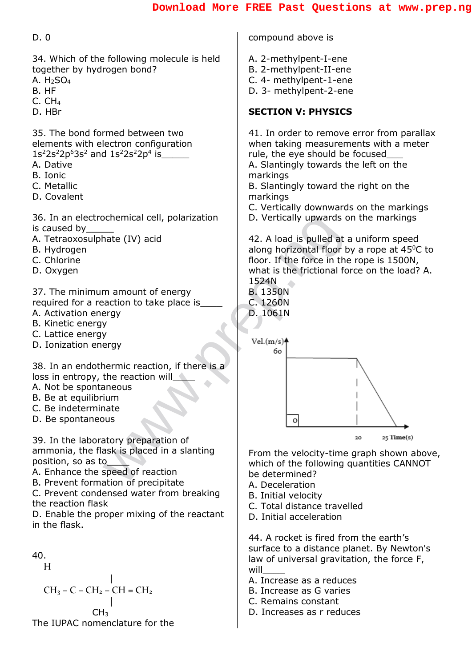| D.0                                                                                                                                                                                 | compound above is                                                                                                                                                       |
|-------------------------------------------------------------------------------------------------------------------------------------------------------------------------------------|-------------------------------------------------------------------------------------------------------------------------------------------------------------------------|
| 34. Which of the following molecule is held<br>together by hydrogen bond?<br>A. $H2SO4$<br>B. HF<br>C. CH <sub>4</sub>                                                              | A. 2-methylpent-I-ene<br>B. 2-methylpent-II-ene<br>C. 4- methylpent-1-ene<br>D. 3- methylpent-2-ene                                                                     |
| D. HBr                                                                                                                                                                              | <b>SECTION V: PHYSICS</b>                                                                                                                                               |
| 35. The bond formed between two<br>elements with electron configuration<br>$1s^22s^22p^63s^2$ and $1s^22s^22p^4$ is<br>A. Dative<br>B. Ionic<br>C. Metallic<br>D. Covalent          | 41. In order to remove<br>when taking measurem<br>rule, the eye should be<br>A. Slantingly towards th<br>markings<br>B. Slantingly toward the<br>markings               |
| 36. In an electrochemical cell, polarization<br>is caused by<br>A. Tetraoxosulphate (IV) acid<br>B. Hydrogen<br>C. Chlorine<br>D. Oxygen                                            | C. Vertically downwards<br>D. Vertically upwards o<br>42. A load is pulled at a<br>along horizontal floor b<br>floor. If the force in the<br>what is the frictional for |
| 37. The minimum amount of energy<br>required for a reaction to take place is<br>A. Activation energy<br>B. Kinetic energy<br>C. Lattice energy<br>D. Ionization energy              | 1524N<br><b>B. 1350N</b><br>C. 1260N<br>D. 1061N<br>Vel.(m/s)<br>60                                                                                                     |
| 38. In an endothermic reaction, if there is a<br>loss in entropy, the reaction will<br>A. Not be spontaneous<br>B. Be at equilibrium<br>C. Be indeterminate<br>D. Be spontaneous    | о                                                                                                                                                                       |
| 39. In the laboratory preparation of<br>ammonia, the flask is placed in a slanting<br>position, so as to<br>A. Enhance the speed of reaction<br>B. Prevent formation of precipitate | From the velocity-time<br>which of the following c<br>be determined?<br>A Deceleration                                                                                  |

- C. Lattice energy
- D. Ionization energy

- A. Not be spontaneous
- B. Be at equilibrium
- C. Be indeterminate
- D. Be spontaneous

B. Prevent formation of precipitate

C. Prevent condensed water from breaking the reaction flask

D. Enable the proper mixing of the reactant in the flask.



H

 $CH_3 - C - CH_2 - CH = CH_2$ 



- A. 2-methylpent-I-ene
- B. 2-methylpent-II-ene
- C. 4- methylpent-1-ene
- D. 3- methylpent-2-ene

#### **SECTION V: PHYSICS**

41. In order to remove error from parallax when taking measurements with a meter rule, the eye should be focused A. Slantingly towards the left on the markings

B. Slantingly toward the right on the markings

- C. Vertically downwards on the markings
- D. Vertically upwards on the markings

42. A load is pulled at a uniform speed along horizontal floor by a rope at  $45^{\circ}$ C to floor. If the force in the rope is 1500N, what is the frictional force on the load? A. 1524N



From the velocity-time graph shown above, which of the following quantities CANNOT be determined?

- A. Deceleration
- B. Initial velocity
- C. Total distance travelled
- D. Initial acceleration

44. A rocket is fired from the earth's surface to a distance planet. By Newton's law of universal gravitation, the force F,  $will$ 

- A. Increase as a reduces
- B. Increase as G varies
- C. Remains constant
- D. Increases as r reduces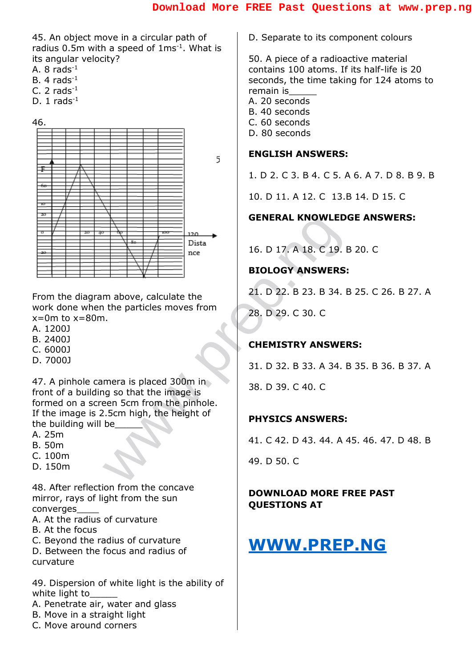45. An object move in a circular path of radius  $0.5$ m with a speed of  $1 \text{ms}^{-1}$ . What is its angular velocity?

- A.  $8$  rads<sup>-1</sup>
- B. 4  $rads^{-1}$
- C. 2  $rads^{-1}$
- D.  $1$  rads<sup>-1</sup>





From the diagram above, calculate the work done when the particles moves from  $x=0$ m to  $x=80$ m.

- A. 1200J
- B. 2400J
- C. 6000J
- D. 7000J

47. A pinhole camera is placed 300m in front of a building so that the image is formed on a screen 5cm from the pinhole. If the image is 2.5cm high, the height of the building will be

- A. 25m
- B. 50m
- C. 100m
- D. 150m

48. After reflection from the concave mirror, rays of light from the sun converges\_\_\_\_

- A. At the radius of curvature
- B. At the focus
- C. Beyond the radius of curvature
- D. Between the focus and radius of
- curvature

49. Dispersion of white light is the ability of white light to

- A. Penetrate air, water and glass
- B. Move in a straight light
- C. Move around corners

D. Separate to its component colours

50. A piece of a radioactive material contains 100 atoms. If its half-life is 20 seconds, the time taking for 124 atoms to remain is\_\_\_\_\_ A. 20 seconds

- B. 40 seconds
- C. 60 seconds
- D. 80 seconds
- 

#### **ENGLISH ANSWERS:**

1. D 2. C 3. B 4. C 5. A 6. A 7. D 8. B 9. B

10. D 11. A 12. C 13.B 14. D 15. C

#### **GENERAL KNOWLEDGE ANSWERS:**

16. D 17. A 18. C 19. B 20. C

#### **BIOLOGY ANSWERS:**

21. D 22. B 23. B 34. B 25. C 26. B 27. A

28. D 29. C 30. C

#### **CHEMISTRY ANSWERS:**

31. D 32. B 33. A 34. B 35. B 36. B 37. A 38. D 39. C 40. C

#### **PHYSICS ANSWERS:**

41. C 42. D 43. 44. A 45. 46. 47. D 48. B

49. D 50. C

#### **DOWNLOAD MORE FREE PAST QUESTIONS AT**

## **[WWW.PREP.NG](http://www.prep.ng/)**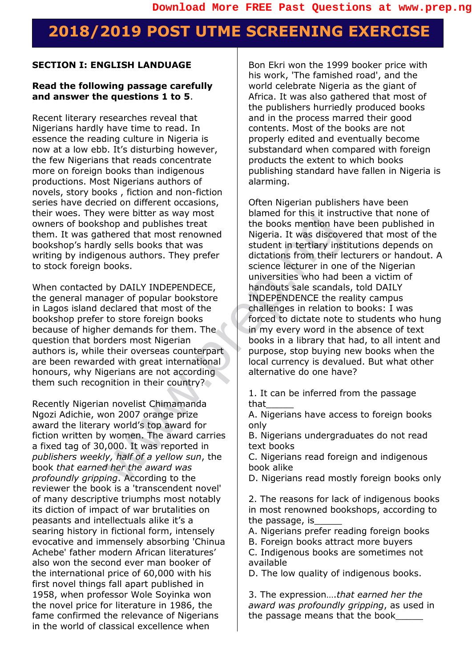## **2018/2019 POST UTME SCREENING EXERCISE**

#### **SECTION I: ENGLISH LANDUAGE**

#### **Read the following passage carefully and answer the questions 1 to 5**.

Recent literary researches reveal that Nigerians hardly have time to read. In essence the reading culture in Nigeria is now at a low ebb. It's disturbing however, the few Nigerians that reads concentrate more on foreign books than indigenous productions. Most Nigerians authors of novels, story books , fiction and non-fiction series have decried on different occasions, their woes. They were bitter as way most owners of bookshop and publishes treat them. It was gathered that most renowned bookshop's hardly sells books that was writing by indigenous authors. They prefer to stock foreign books.

When contacted by DAILY INDEPENDECE, the general manager of popular bookstore in Lagos island declared that most of the bookshop prefer to store foreign books because of higher demands for them. The question that borders most Nigerian authors is, while their overseas counterpart are been rewarded with great international honours, why Nigerians are not according them such recognition in their country?

Recently Nigerian novelist Chimamanda Ngozi Adichie, won 2007 orange prize award the literary world's top award for fiction written by women. The award carries a fixed tag of 30,000. It was reported in *publishers weekly, half of a yellow sun*, the book *that earned her the award was profoundly gripping*. According to the reviewer the book is a 'transcendent novel' of many descriptive triumphs most notably its diction of impact of war brutalities on peasants and intellectuals alike it's a searing history in fictional form, intensely evocative and immensely absorbing 'Chinua Achebe' father modern African literatures' also won the second ever man booker of the international price of 60,000 with his first novel things fall apart published in 1958, when professor Wole Soyinka won the novel price for literature in 1986, the fame confirmed the relevance of Nigerians in the world of classical excellence when

Bon Ekri won the 1999 booker price with his work, 'The famished road', and the world celebrate Nigeria as the giant of Africa. It was also gathered that most of the publishers hurriedly produced books and in the process marred their good contents. Most of the books are not properly edited and eventually become substandard when compared with foreign products the extent to which books publishing standard have fallen in Nigeria is alarming.

Were the tooks the part of the books mention have and publishes treat<br>the books mention have student in tertiary institutions from their levels books.<br>
In the books with the books in the properties who had be by DAILY INDE Often Nigerian publishers have been blamed for this it instructive that none of the books mention have been published in Nigeria. It was discovered that most of the student in tertiary institutions depends on dictations from their lecturers or handout. A science lecturer in one of the Nigerian universities who had been a victim of handouts sale scandals, told DAILY INDEPENDENCE the reality campus challenges in relation to books: I was forced to dictate note to students who hung in my every word in the absence of text books in a library that had, to all intent and purpose, stop buying new books when the local currency is devalued. But what other alternative do one have?

1. It can be inferred from the passage that\_\_\_\_\_

A. Nigerians have access to foreign books only

B. Nigerians undergraduates do not read text books

C. Nigerians read foreign and indigenous book alike

D. Nigerians read mostly foreign books only

2. The reasons for lack of indigenous books in most renowned bookshops, according to the passage, is

A. Nigerians prefer reading foreign books B. Foreign books attract more buyers

C. Indigenous books are sometimes not available

D. The low quality of indigenous books.

3. The expression….*that earned her the award was profoundly gripping*, as used in the passage means that the book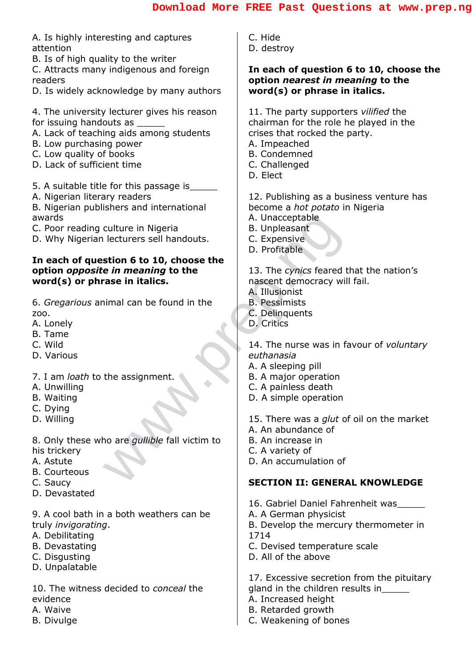| A. Is highly interesting and captures<br>attention                      | C. Hide<br>D. destroy                                                   |
|-------------------------------------------------------------------------|-------------------------------------------------------------------------|
| B. Is of high quality to the writer                                     |                                                                         |
| C. Attracts many indigenous and foreign                                 | In each of question 6 to 10, choose the                                 |
| readers                                                                 | option nearest in meaning to the                                        |
| D. Is widely acknowledge by many authors                                | word(s) or phrase in italics.                                           |
| 4. The university lecturer gives his reason                             | 11. The party supporters vilified the                                   |
| for issuing handouts as                                                 | chairman for the role he played in the                                  |
| A. Lack of teaching aids among students                                 | crises that rocked the party.                                           |
| B. Low purchasing power                                                 | A. Impeached                                                            |
| C. Low quality of books                                                 | <b>B.</b> Condemned                                                     |
| D. Lack of sufficient time                                              | C. Challenged                                                           |
|                                                                         | D. Elect                                                                |
| 5. A suitable title for this passage is<br>A. Nigerian literary readers | 12. Publishing as a business venture has                                |
| B. Nigerian publishers and international                                | become a <i>hot potato</i> in Nigeria                                   |
| awards                                                                  | A. Unacceptable                                                         |
| C. Poor reading culture in Nigeria                                      | <b>B.</b> Unpleasant                                                    |
| D. Why Nigerian lecturers sell handouts.                                | C. Expensive                                                            |
|                                                                         | D. Profitable                                                           |
| In each of question 6 to 10, choose the                                 |                                                                         |
| option opposite in meaning to the<br>word(s) or phrase in italics.      | 13. The cynics feared that the nation's<br>nascent democracy will fail. |
|                                                                         | A. Illusionist                                                          |
| 6. Gregarious animal can be found in the                                | <b>B.</b> Pessimists                                                    |
| ZOO.                                                                    | C. Delinquents                                                          |
| A. Lonely                                                               | D. Critics                                                              |
| B. Tame                                                                 |                                                                         |
| C. Wild                                                                 | 14. The nurse was in favour of voluntary<br>euthanasia                  |
| D. Various                                                              | A. A sleeping pill                                                      |
| 7. I am loath to the assignment.                                        | B. A major operation                                                    |
| A. Unwilling                                                            | C. A painless death                                                     |
| <b>B.</b> Waiting                                                       | D. A simple operation                                                   |
| C. Dying                                                                |                                                                         |
| D. Willing                                                              | 15. There was a <i>glut</i> of oil on the market                        |
|                                                                         | A. An abundance of                                                      |
| 8. Only these who are <i>gullible</i> fall victim to<br>his trickery    | B. An increase in<br>C. A variety of                                    |
| A. Astute                                                               | D. An accumulation of                                                   |
| <b>B.</b> Courteous                                                     |                                                                         |
| C. Saucy                                                                | <b>SECTION II: GENERAL KNOWLEDGE</b>                                    |
| D. Devastated                                                           |                                                                         |
|                                                                         | 16. Gabriel Daniel Fahrenheit was                                       |
| 9. A cool bath in a both weathers can be                                | A. A German physicist                                                   |
| truly invigorating.<br>A. Debilitating                                  | B. Develop the mercury thermometer in<br>1714                           |
| <b>B.</b> Devastating                                                   | C. Devised temperature scale                                            |
| C. Disgusting                                                           | D. All of the above                                                     |
| D. Unpalatable                                                          |                                                                         |
|                                                                         | 17. Excessive secretion from the pituitary                              |
| 10. The witness decided to <i>conceal</i> the                           | gland in the children results in_____                                   |
| evidence                                                                | A. Increased height                                                     |
| A. Waive                                                                | B. Retarded growth                                                      |

C. Weakening of bones

 $\overline{\phantom{a}}$ 

- 
- B. Divulge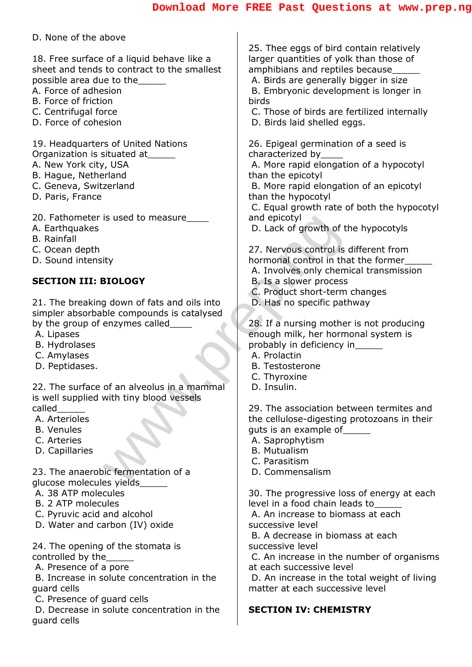#### D. None of the above

18. Free surface of a liquid behave like a sheet and tends to contract to the smallest possible area due to the

- A. Force of adhesion
- B. Force of friction
- C. Centrifugal force
- D. Force of cohesion

19. Headquarters of United Nations Organization is situated at\_\_\_\_\_

- A. New York city, USA
- B. Hague, Netherland
- C. Geneva, Switzerland
- D. Paris, France
- 20. Fathometer is used to measure
- A. Earthquakes
- B. Rainfall
- C. Ocean depth
- D. Sound intensity

#### **SECTION III: BIOLOGY**

is used to measure<br>
and epicotyl<br>
D. Lack of growth of the transmit of the control is thermonal control in that<br> **BIOLOGY**<br>
B. Is a slower process of the compounds is catalysed<br>
enzymes called<br>
and oils into<br>
D. Has no spe 21. The breaking down of fats and oils into simpler absorbable compounds is catalysed by the group of enzymes called

- A. Lipases
- B. Hydrolases
- C. Amylases
- D. Peptidases.

22. The surface of an alveolus in a mammal is well supplied with tiny blood vessels called\_\_\_\_\_

- A. Arterioles
- B. Venules
- C. Arteries
- D. Capillaries

23. The anaerobic fermentation of a glucose molecules yields\_\_\_\_\_

- A. 38 ATP molecules
- B. 2 ATP molecules
- C. Pyruvic acid and alcohol
- D. Water and carbon (IV) oxide
- 24. The opening of the stomata is controlled by the
- A. Presence of a pore
- B. Increase in solute concentration in the guard cells
- C. Presence of guard cells
- D. Decrease in solute concentration in the guard cells

25. Thee eggs of bird contain relatively larger quantities of yolk than those of amphibians and reptiles because

A. Birds are generally bigger in size

B. Embryonic development is longer in birds

- C. Those of birds are fertilized internally
- D. Birds laid shelled eggs.

26. Epigeal germination of a seed is characterized by\_\_\_\_

A. More rapid elongation of a hypocotyl than the epicotyl

B. More rapid elongation of an epicotyl than the hypocotyl

C. Equal growth rate of both the hypocotyl and epicotyl

D. Lack of growth of the hypocotyls

27. Nervous control is different from hormonal control in that the former\_\_\_\_\_

- A. Involves only chemical transmission
- B. Is a slower process
- C. Product short-term changes
- D. Has no specific pathway

28. If a nursing mother is not producing enough milk, her hormonal system is probably in deficiency in\_\_\_\_\_

- A. Prolactin
- B. Testosterone
- C. Thyroxine
- D. Insulin.

29. The association between termites and the cellulose-digesting protozoans in their guts is an example of\_\_\_\_\_

A. Saprophytism

- B. Mutualism
- C. Parasitism
- D. Commensalism

30. The progressive loss of energy at each level in a food chain leads to\_\_\_\_\_

A. An increase to biomass at each successive level

B. A decrease in biomass at each successive level

C. An increase in the number of organisms at each successive level

D. An increase in the total weight of living matter at each successive level

#### **SECTION IV: CHEMISTRY**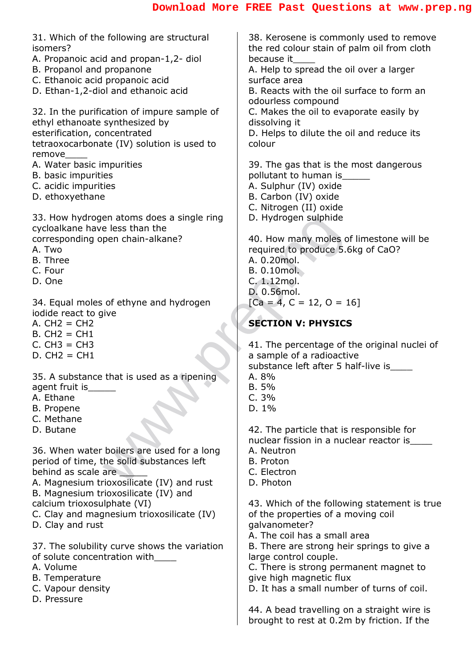| 31. Which of the following are structural<br>isomers?<br>A. Propanoic acid and propan-1,2- diol<br>B. Propanol and propanone<br>C. Ethanoic acid propanoic acid<br>D. Ethan-1,2-diol and ethanoic acid | 38. Kerosene is commo<br>the red colour stain of p<br>because it<br>A. Help to spread the o<br>surface area<br>B. Reacts with the oil so<br>odourless compound |
|--------------------------------------------------------------------------------------------------------------------------------------------------------------------------------------------------------|----------------------------------------------------------------------------------------------------------------------------------------------------------------|
| 32. In the purification of impure sample of<br>ethyl ethanoate synthesized by<br>esterification, concentrated<br>tetraoxocarbonate (IV) solution is used to<br>remove                                  | C. Makes the oil to eval<br>dissolving it<br>D. Helps to dilute the o<br>colour                                                                                |
| A. Water basic impurities<br>B. basic impurities<br>C. acidic impurities<br>D. ethoxyethane                                                                                                            | 39. The gas that is the<br>pollutant to human is<br>A. Sulphur (IV) oxide<br>B. Carbon (IV) oxide<br>C. Nitrogen (II) oxide                                    |
| 33. How hydrogen atoms does a single ring<br>cycloalkane have less than the<br>corresponding open chain-alkane?<br>A. Two<br><b>B.</b> Three<br>C. Four<br>D. One                                      | D. Hydrogen sulphide<br>40. How many moles of<br>required to produce 5.6<br>A. 0.20mol.<br>B. 0.10mol.<br>C. 1.12mol.<br>D. 0.56mol.                           |
| 34. Equal moles of ethyne and hydrogen<br>iodide react to give<br>$A. CH2 = CH2$<br>$B. CH2 = CH1$<br>$C. CH3 = CH3$<br>$D. CH2 = CH1$                                                                 | $[Ca = 4, C = 12, O = 1]$<br><b>SECTION V: PHYSICS</b><br>41. The percentage of t<br>a sample of a radioactiv                                                  |
| 35. A substance that is used as a ripening<br>agent fruit is<br>A. Ethane<br>B. Propene<br>C. Methane<br>D. Butane                                                                                     | substance left after 5 h<br>A. 8%<br>B. 5%<br>C.3%<br>$D. 1\%$<br>42. The particle that is                                                                     |
| 36. When water boilers are used for a long<br>period of time, the solid substances left<br>behind as scale are<br>A. Magnesium trioxosilicate (IV) and rust<br>B. Magnesium trioxosilicate (IV) and    | nuclear fission in a nucl<br>A. Neutron<br><b>B.</b> Proton<br>C. Electron<br>D. Photon                                                                        |
| calcium trioxosulphate (VI)<br>C. Clay and magnesium trioxosilicate (IV)<br>D. Clay and rust                                                                                                           | 43. Which of the followi<br>of the properties of a m<br>galvanometer?<br>A. The coil has a small                                                               |
| 37. The solubility curve shows the variation<br>of solute concentration with<br>A. Volume<br><b>B.</b> Temperature<br>C. Vapour density<br>D. Pressure                                                 | B. There are strong hei<br>large control couple.<br>C. There is strong perm<br>give high magnetic flux<br>D. It has a small numbe                              |
|                                                                                                                                                                                                        | 44. A bead travelling or<br>brought to rest at 0.2m                                                                                                            |

rosene is commonly used to remove I colour stain of palm oil from cloth be it to spread the oil over a larger e area cts with the oil surface to form an

ess compound

es the oil to evaporate easily by ina it

os to dilute the oil and reduce its

e gas that is the most dangerous nt to human is bhur (IV) oxide bon (IV) oxide ogen (II) oxide lrogen sulphide

w many moles of limestone will be ed to produce 5.6kg of CaO? )mol.  $b$  mol.  $\overline{a}$ 2mol. 5mol.  $(4, C = 12, O = 16]$ 

#### **ON V: PHYSICS**

e percentage of the original nuclei of ble of a radioactive nce left after 5 half-live is

e particle that is responsible for r fission in a nuclear reactor is\_\_\_\_

- tron
- on:
- tron<sup>.</sup>
- ton

ich of the following statement is true properties of a moving coil ometer?

coil has a small area

re are strong heir springs to give a ontrol couple.

re is strong permanent magnet to gh magnetic flux

as a small number of turns of coil.

ead travelling on a straight wire is it to rest at 0.2m by friction. If the